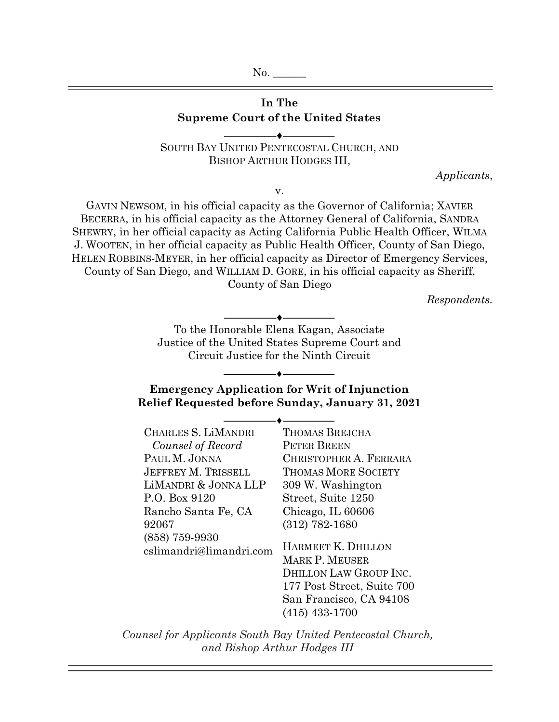No.

# **In The Supreme Court of the United States**  $\overline{\phantom{a}}$

SOUTH BAY UNITED PENTECOSTAL CHURCH, AND BISHOP ARTHUR HODGES III,

v.

*Applicants*,

GAVIN NEWSOM, in his official capacity as the Governor of California; XAVIER BECERRA, in his official capacity as the Attorney General of California, SANDRA SHEWRY, in her official capacity as Acting California Public Health Officer, WILMA J. WOOTEN, in her official capacity as Public Health Officer, County of San Diego, HELEN ROBBINS-MEYER, in her official capacity as Director of Emergency Services, County of San Diego, and WILLIAM D. GORE, in his official capacity as Sheriff, County of San Diego

*Respondents.* 

To the Honorable Elena Kagan, Associate Justice of the United States Supreme Court and Circuit Justice for the Ninth Circuit

 $\overbrace{\hspace{27mm}}$ 

## **Emergency Application for Writ of Injunction Relief Requested before Sunday, January 31, 2021**

| CHARLES S. LiMANDRI        | <b>THOMAS BREJCHA</b>      |
|----------------------------|----------------------------|
| Counsel of Record          | <b>PETER BREEN</b>         |
| PAUL M. JONNA              | CHRISTOPHER A. FERRARA     |
| <b>JEFFREY M. TRISSELL</b> | <b>THOMAS MORE SOCIETY</b> |
| LIMANDRI & JONNA LLP       | 309 W. Washington          |
| P.O. Box 9120              | Street, Suite 1250         |
| Rancho Santa Fe, CA        | Chicago, IL 60606          |
| 92067                      | $(312)$ 782-1680           |
| $(858)$ 759-9930           |                            |
| cslimandri@limandri.com    | HARMEET K. DHILLON         |
|                            | <b>MARK P. MEUSER</b>      |
|                            | DHILLON LAW GROUP INC.     |
|                            | 177 Post Street, Suite 700 |
|                            | San Francisco, CA 94108    |
|                            | $(415)$ 433-1700           |

*Counsel for Applicants South Bay United Pentecostal Church, and Bishop Arthur Hodges III*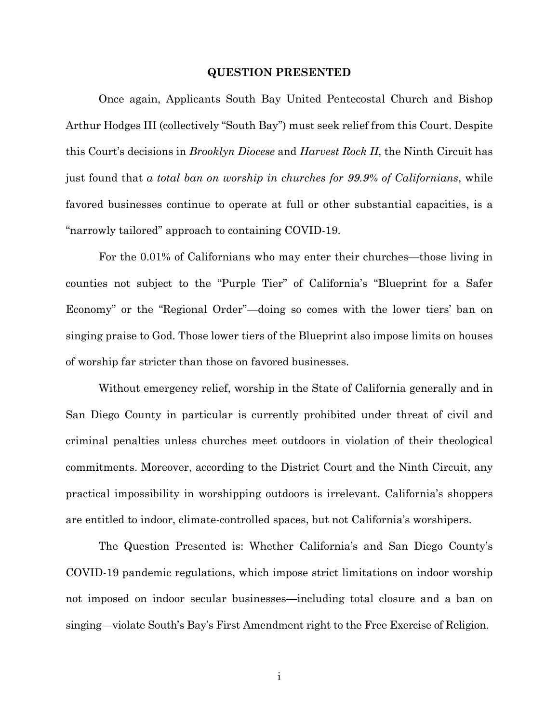#### **QUESTION PRESENTED**

Once again, Applicants South Bay United Pentecostal Church and Bishop Arthur Hodges III (collectively "South Bay") must seek relief from this Court. Despite this Court's decisions in *Brooklyn Diocese* and *Harvest Rock II*, the Ninth Circuit has just found that *a total ban on worship in churches for 99.9% of Californians*, while favored businesses continue to operate at full or other substantial capacities, is a "narrowly tailored" approach to containing COVID-19.

For the 0.01% of Californians who may enter their churches—those living in counties not subject to the "Purple Tier" of California's "Blueprint for a Safer Economy" or the "Regional Order"—doing so comes with the lower tiers' ban on singing praise to God. Those lower tiers of the Blueprint also impose limits on houses of worship far stricter than those on favored businesses.

Without emergency relief, worship in the State of California generally and in San Diego County in particular is currently prohibited under threat of civil and criminal penalties unless churches meet outdoors in violation of their theological commitments. Moreover, according to the District Court and the Ninth Circuit, any practical impossibility in worshipping outdoors is irrelevant. California's shoppers are entitled to indoor, climate-controlled spaces, but not California's worshipers.

The Question Presented is: Whether California's and San Diego County's COVID-19 pandemic regulations, which impose strict limitations on indoor worship not imposed on indoor secular businesses—including total closure and a ban on singing—violate South's Bay's First Amendment right to the Free Exercise of Religion.

i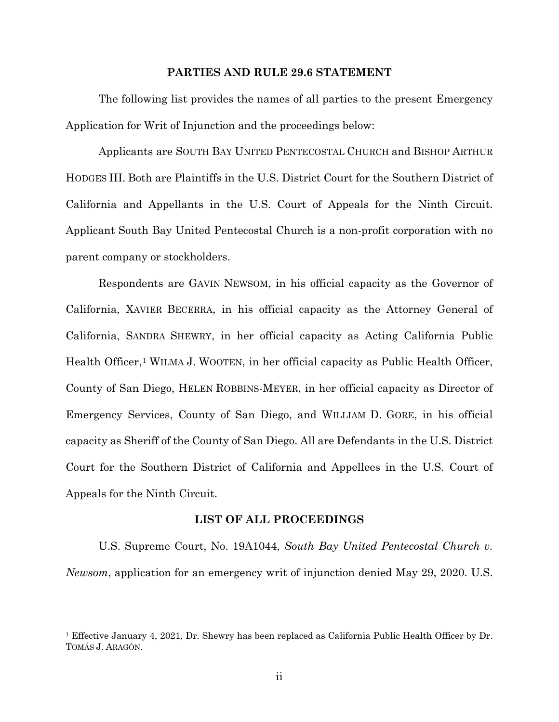#### **PARTIES AND RULE 29.6 STATEMENT**

The following list provides the names of all parties to the present Emergency Application for Writ of Injunction and the proceedings below:

Applicants are SOUTH BAY UNITED PENTECOSTAL CHURCH and BISHOP ARTHUR HODGES III. Both are Plaintiffs in the U.S. District Court for the Southern District of California and Appellants in the U.S. Court of Appeals for the Ninth Circuit. Applicant South Bay United Pentecostal Church is a non-profit corporation with no parent company or stockholders.

Respondents are GAVIN NEWSOM, in his official capacity as the Governor of California, XAVIER BECERRA, in his official capacity as the Attorney General of California, SANDRA SHEWRY, in her official capacity as Acting California Public Health Officer,<sup>[1](#page-2-0)</sup> WILMA J. WOOTEN, in her official capacity as Public Health Officer, County of San Diego, HELEN ROBBINS-MEYER, in her official capacity as Director of Emergency Services, County of San Diego, and WILLIAM D. GORE, in his official capacity as Sheriff of the County of San Diego. All are Defendants in the U.S. District Court for the Southern District of California and Appellees in the U.S. Court of Appeals for the Ninth Circuit.

#### **LIST OF ALL PROCEEDINGS**

U.S. Supreme Court, No. 19A1044, *South Bay United Pentecostal Church v. Newsom*, application for an emergency writ of injunction denied May 29, 2020. U.S.

 $\overline{a}$ 

<span id="page-2-0"></span><sup>1</sup> Effective January 4, 2021, Dr. Shewry has been replaced as California Public Health Officer by Dr. TOMÁS J. ARAGÓN.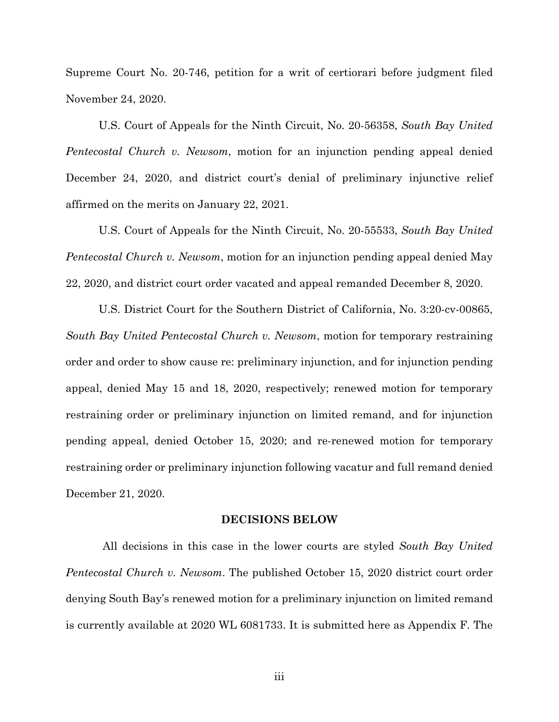Supreme Court No. 20-746, petition for a writ of certiorari before judgment filed November 24, 2020.

U.S. Court of Appeals for the Ninth Circuit, No. 20-56358, *South Bay United Pentecostal Church v. Newsom*, motion for an injunction pending appeal denied December 24, 2020, and district court's denial of preliminary injunctive relief affirmed on the merits on January 22, 2021.

U.S. Court of Appeals for the Ninth Circuit, No. 20-55533, *South Bay United Pentecostal Church v. Newsom*, motion for an injunction pending appeal denied May 22, 2020, and district court order vacated and appeal remanded December 8, 2020.

U.S. District Court for the Southern District of California, No. 3:20-cv-00865, *South Bay United Pentecostal Church v. Newsom*, motion for temporary restraining order and order to show cause re: preliminary injunction, and for injunction pending appeal, denied May 15 and 18, 2020, respectively; renewed motion for temporary restraining order or preliminary injunction on limited remand, and for injunction pending appeal, denied October 15, 2020; and re-renewed motion for temporary restraining order or preliminary injunction following vacatur and full remand denied December 21, 2020.

#### **DECISIONS BELOW**

All decisions in this case in the lower courts are styled *South Bay United Pentecostal Church v. Newsom*. The published October 15, 2020 district court order denying South Bay's renewed motion for a preliminary injunction on limited remand is currently available at 2020 WL 6081733. It is submitted here as Appendix F. The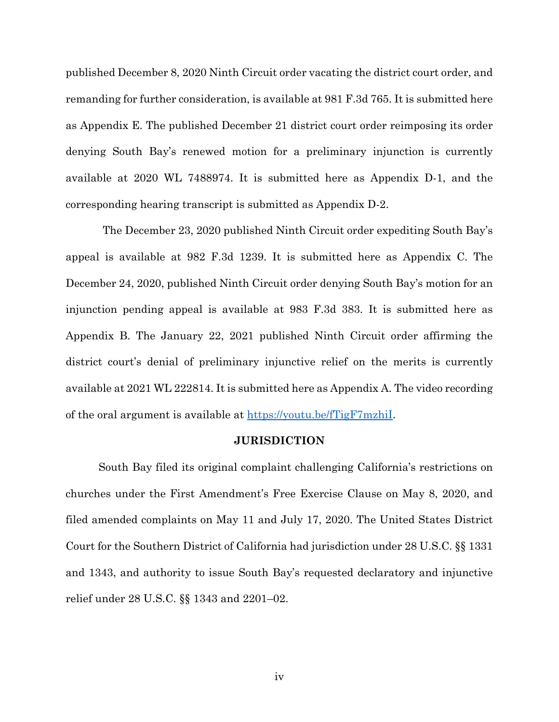published December 8, 2020 Ninth Circuit order vacating the district court order, and remanding for further consideration, is available at 981 F.3d 765. It is submitted here as Appendix E. The published December 21 district court order reimposing its order denying South Bay's renewed motion for a preliminary injunction is currently available at 2020 WL 7488974. It is submitted here as Appendix D-1, and the corresponding hearing transcript is submitted as Appendix D-2.

The December 23, 2020 published Ninth Circuit order expediting South Bay's appeal is available at 982 F.3d 1239. It is submitted here as Appendix C. The December 24, 2020, published Ninth Circuit order denying South Bay's motion for an injunction pending appeal is available at 983 F.3d 383. It is submitted here as Appendix B. The January 22, 2021 published Ninth Circuit order affirming the district court's denial of preliminary injunctive relief on the merits is currently available at 2021 WL 222814. It is submitted here as Appendix A. The video recording of the oral argument is available at https://youtu.be/fTigF7mzhiI.

## **JURISDICTION**

South Bay filed its original complaint challenging California's restrictions on churches under the First Amendment's Free Exercise Clause on May 8, 2020, and filed amended complaints on May 11 and July 17, 2020. The United States District Court for the Southern District of California had jurisdiction under 28 U.S.C. §§ 1331 and 1343, and authority to issue South Bay's requested declaratory and injunctive relief under 28 U.S.C. §§ 1343 and 2201–02.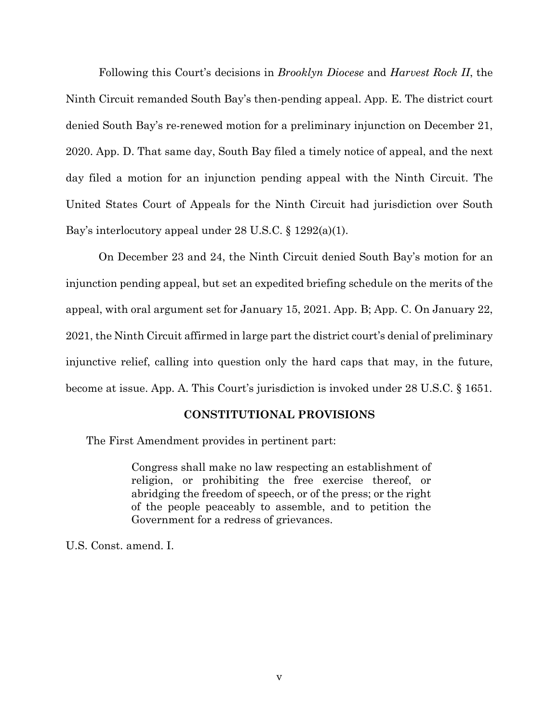Following this Court's decisions in *Brooklyn Diocese* and *Harvest Rock II*, the Ninth Circuit remanded South Bay's then-pending appeal. App. E. The district court denied South Bay's re-renewed motion for a preliminary injunction on December 21, 2020. App. D. That same day, South Bay filed a timely notice of appeal, and the next day filed a motion for an injunction pending appeal with the Ninth Circuit. The United States Court of Appeals for the Ninth Circuit had jurisdiction over South Bay's interlocutory appeal under 28 U.S.C. § 1292(a)(1).

On December 23 and 24, the Ninth Circuit denied South Bay's motion for an injunction pending appeal, but set an expedited briefing schedule on the merits of the appeal, with oral argument set for January 15, 2021. App. B; App. C. On January 22, 2021, the Ninth Circuit affirmed in large part the district court's denial of preliminary injunctive relief, calling into question only the hard caps that may, in the future, become at issue. App. A. This Court's jurisdiction is invoked under 28 U.S.C. § 1651.

### **CONSTITUTIONAL PROVISIONS**

The First Amendment provides in pertinent part:

Congress shall make no law respecting an establishment of religion, or prohibiting the free exercise thereof, or abridging the freedom of speech, or of the press; or the right of the people peaceably to assemble, and to petition the Government for a redress of grievances.

U.S. Const. amend. I.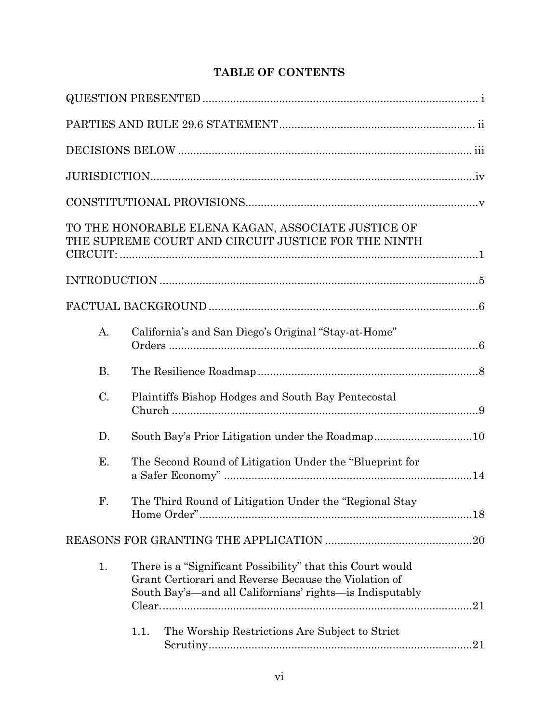# **TABLE OF CONTENTS**

|           | TO THE HONORABLE ELENA KAGAN, ASSOCIATE JUSTICE OF<br>THE SUPREME COURT AND CIRCUIT JUSTICE FOR THE NINTH                                                                       |  |
|-----------|---------------------------------------------------------------------------------------------------------------------------------------------------------------------------------|--|
|           |                                                                                                                                                                                 |  |
|           |                                                                                                                                                                                 |  |
| A.        | California's and San Diego's Original "Stay-at-Home"                                                                                                                            |  |
| <b>B.</b> |                                                                                                                                                                                 |  |
| $C$ .     | Plaintiffs Bishop Hodges and South Bay Pentecostal                                                                                                                              |  |
| D.        |                                                                                                                                                                                 |  |
| Ε.        | The Second Round of Litigation Under the "Blueprint for                                                                                                                         |  |
| F.        | The Third Round of Litigation Under the "Regional Stay                                                                                                                          |  |
|           |                                                                                                                                                                                 |  |
| 1.        | There is a "Significant Possibility" that this Court would<br>Grant Certiorari and Reverse Because the Violation of<br>South Bay's—and all Californians' rights—is Indisputably |  |
|           | 1.1.<br>The Worship Restrictions Are Subject to Strict                                                                                                                          |  |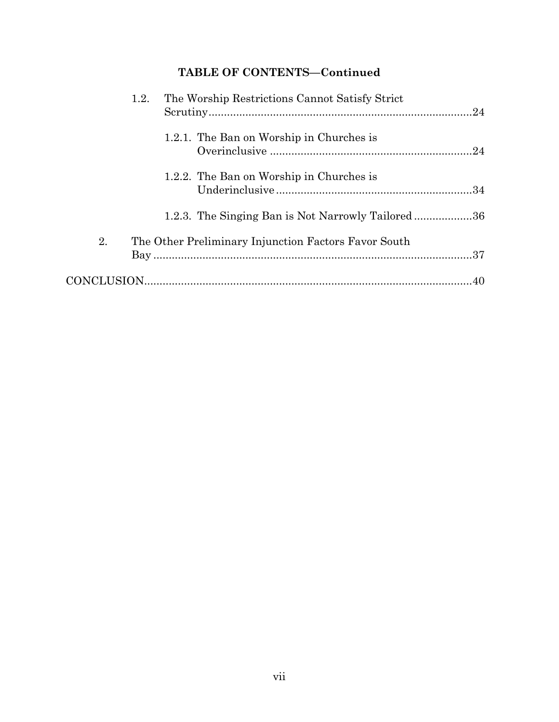# **TABLE OF CONTENTS—Continued**

|    | The Worship Restrictions Cannot Satisfy Strict<br>1.2.    |
|----|-----------------------------------------------------------|
|    | 1.2.1. The Ban on Worship in Churches is                  |
|    | 1.2.2. The Ban on Worship in Churches is                  |
|    | 1.2.3. The Singing Ban is Not Narrowly Tailored36         |
| 2. | The Other Preliminary Injunction Factors Favor South      |
|    | $\text{CONCLUSION}.\textcolor{blue}{\text{10}} \text{10}$ |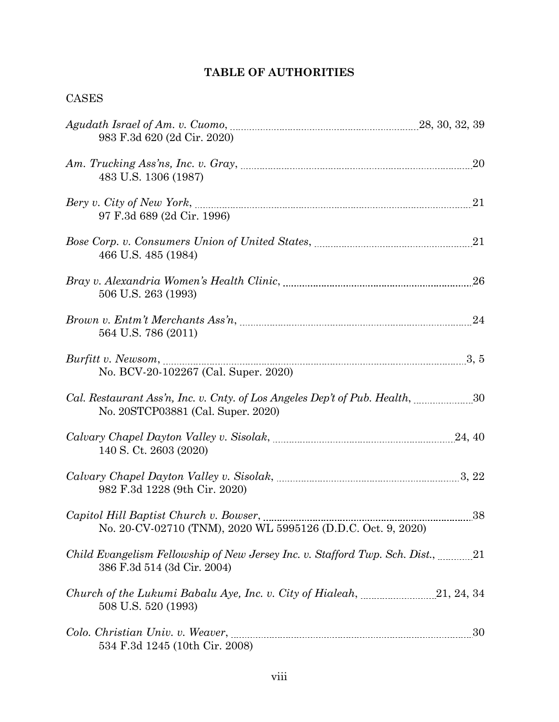# **TABLE OF AUTHORITIES**

## CASES

| 983 F.3d 620 (2d Cir. 2020)                                                                                                                                                                                                                                                                  |    |
|----------------------------------------------------------------------------------------------------------------------------------------------------------------------------------------------------------------------------------------------------------------------------------------------|----|
| 483 U.S. 1306 (1987)                                                                                                                                                                                                                                                                         |    |
| 97 F.3d 689 (2d Cir. 1996)                                                                                                                                                                                                                                                                   |    |
| 466 U.S. 485 (1984)                                                                                                                                                                                                                                                                          |    |
| 506 U.S. 263 (1993)                                                                                                                                                                                                                                                                          | 26 |
| 564 U.S. 786 (2011)                                                                                                                                                                                                                                                                          |    |
| No. BCV-20-102267 (Cal. Super. 2020)                                                                                                                                                                                                                                                         |    |
| No. 20STCP03881 (Cal. Super. 2020)                                                                                                                                                                                                                                                           |    |
| 140 S. Ct. 2603 (2020)                                                                                                                                                                                                                                                                       |    |
| 982 F.3d 1228 (9th Cir. 2020)                                                                                                                                                                                                                                                                |    |
| Capitol Hill Baptist Church v. Bowser, <i>manufacture and the capitol Hill Baptist Church v. Bowser</i> , <i>manufacture and the capitol Hill Baptist Church v. Bowser</i> , <i>manufacture and the capitol Hill Baptist</i><br>No. 20-CV-02710 (TNM), 2020 WL 5995126 (D.D.C. Oct. 9, 2020) |    |
| Child Evangelism Fellowship of New Jersey Inc. v. Stafford Twp. Sch. Dist., 21<br>386 F.3d 514 (3d Cir. 2004)                                                                                                                                                                                |    |
| 508 U.S. 520 (1993)                                                                                                                                                                                                                                                                          |    |
| 534 F.3d 1245 (10th Cir. 2008)                                                                                                                                                                                                                                                               |    |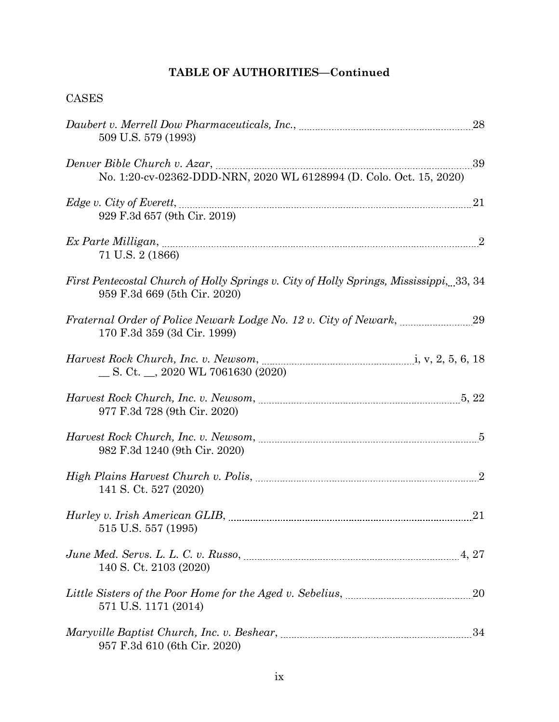## CASES

| 509 U.S. 579 (1993)                                                                                                                                                                                                                                                                                        |    |
|------------------------------------------------------------------------------------------------------------------------------------------------------------------------------------------------------------------------------------------------------------------------------------------------------------|----|
| Denver Bible Church v. Azar, <i>manual communication</i> contract the contract of the contract of the contract of the contract of the contract of the contract of the contract of the contract of the contract of the contract of t<br>No. 1:20-cv-02362-DDD-NRN, 2020 WL 6128994 (D. Colo. Oct. 15, 2020) | 39 |
| 929 F.3d 657 (9th Cir. 2019)                                                                                                                                                                                                                                                                               | 21 |
| 71 U.S. 2 (1866)                                                                                                                                                                                                                                                                                           |    |
| First Pentecostal Church of Holly Springs v. City of Holly Springs, Mississippi, 33, 34<br>959 F.3d 669 (5th Cir. 2020)                                                                                                                                                                                    |    |
| 170 F.3d 359 (3d Cir. 1999)                                                                                                                                                                                                                                                                                |    |
| $\_\_$ S. Ct. $\_\_$ , 2020 WL 7061630 (2020)                                                                                                                                                                                                                                                              |    |
| 977 F.3d 728 (9th Cir. 2020)                                                                                                                                                                                                                                                                               |    |
| 982 F.3d 1240 (9th Cir. 2020)                                                                                                                                                                                                                                                                              |    |
| 141 S. Ct. 527 (2020)                                                                                                                                                                                                                                                                                      |    |
| 515 U.S. 557 (1995)                                                                                                                                                                                                                                                                                        |    |
| 140 S. Ct. 2103 (2020)                                                                                                                                                                                                                                                                                     |    |
| 571 U.S. 1171 (2014)                                                                                                                                                                                                                                                                                       |    |
| 957 F.3d 610 (6th Cir. 2020)                                                                                                                                                                                                                                                                               |    |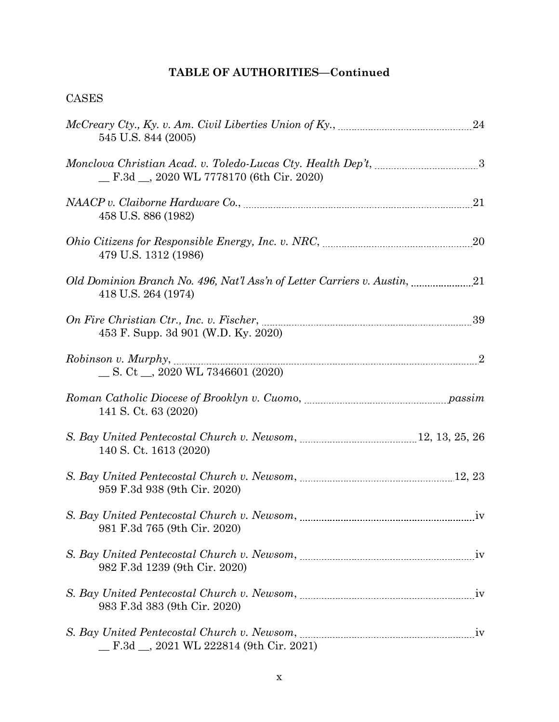# CASES

| 545 U.S. 844 (2005)                             |                |
|-------------------------------------------------|----------------|
| F.3d _, 2020 WL 7778170 (6th Cir. 2020)         |                |
| 458 U.S. 886 (1982)                             | 21             |
| 479 U.S. 1312 (1986)                            |                |
| 418 U.S. 264 (1974)                             |                |
| 453 F. Supp. 3d 901 (W.D. Ky. 2020)             |                |
| $\_$ S. Ct $\_$ , 2020 WL 7346601 (2020)        |                |
| 141 S. Ct. 63 (2020)                            |                |
| 140 S. Ct. 1613 (2020)                          |                |
| 959 F.3d 938 (9th Cir. 2020)                    |                |
| 981 F.3d 765 (9th Cir. 2020)                    |                |
| 982 F.3d 1239 (9th Cir. 2020)                   |                |
| 983 F.3d 383 (9th Cir. 2020)                    |                |
| $\_$ F.3d $\_$ , 2021 WL 222814 (9th Cir. 2021) | 1 <sub>V</sub> |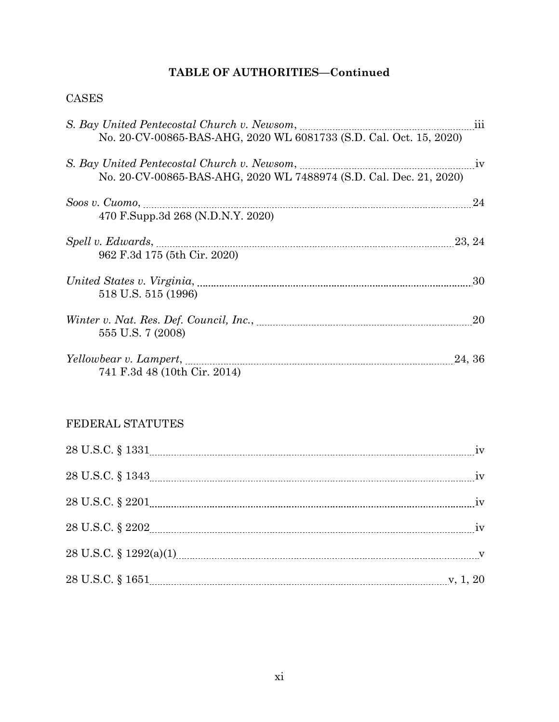## CASES

| <u>iii</u>                                                         |        |
|--------------------------------------------------------------------|--------|
| No. 20-CV-00865-BAS-AHG, 2020 WL 6081733 (S.D. Cal. Oct. 15, 2020) |        |
|                                                                    | 1V     |
| No. 20-CV-00865-BAS-AHG, 2020 WL 7488974 (S.D. Cal. Dec. 21, 2020) |        |
| Soos v. Cuomo, $\ldots$                                            | 24     |
| 470 F.Supp.3d 268 (N.D.N.Y. 2020)                                  |        |
|                                                                    |        |
| 962 F.3d 175 (5th Cir. 2020)                                       |        |
|                                                                    | 30     |
| 518 U.S. 515 (1996)                                                |        |
|                                                                    | 20     |
| 555 U.S. 7 (2008)                                                  |        |
|                                                                    | 24, 36 |
| 741 F.3d 48 (10th Cir. 2014)                                       |        |

# FEDERAL STATUTES

| $28 \text{ U.S.C.} \, \S \, 1651 \!\!\! \ldots \!\!\! \ldots \!\!\! \ldots \!\!\! \ldots \!\!\! \ldots \!\!\! \ldots \!\!\! \ldots \!\!\! \ldots \!\!\! \ldots \!\!\! \ldots \!\!\! \ldots \!\!\! \ldots \!\!\! \ldots \!\!\! \ldots \!\!\! \ldots \!\!\! \ldots \!\!\! \ldots \!\!\! \ldots \!\!\! \ldots \!\!\! \ldots \!\!\! \ldots \!\!\! \ldots \!\!\! \ldots \!\!\! \ldots \!\!\! \ldots \!\!\! \ldots \!\!\! \ldots \!\!\! \ldots \!\!\$ |  |
|-------------------------------------------------------------------------------------------------------------------------------------------------------------------------------------------------------------------------------------------------------------------------------------------------------------------------------------------------------------------------------------------------------------------------------------------------|--|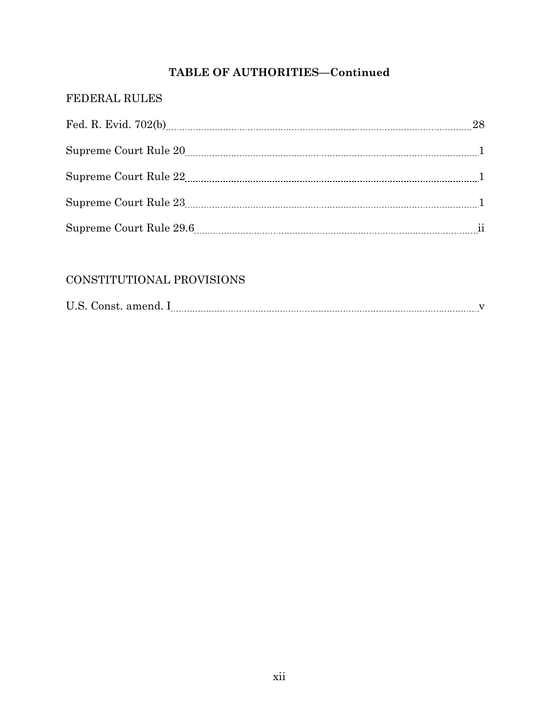## FEDERAL RULES

| 28 |
|----|
|    |
|    |
|    |
|    |

# CONSTITUTIONAL PROVISIONS

| $\mathbf{r}$<br>T.<br>$\sqrt{2}$<br>.<br>. |  |  |
|--------------------------------------------|--|--|
|--------------------------------------------|--|--|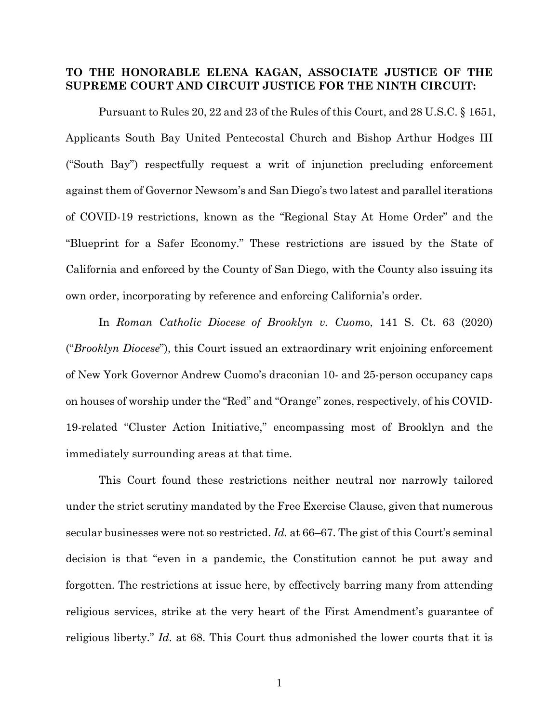## **TO THE HONORABLE ELENA KAGAN, ASSOCIATE JUSTICE OF THE SUPREME COURT AND CIRCUIT JUSTICE FOR THE NINTH CIRCUIT:**

Pursuant to Rules 20, 22 and 23 of the Rules of this Court, and 28 U.S.C. § 1651, Applicants South Bay United Pentecostal Church and Bishop Arthur Hodges III ("South Bay") respectfully request a writ of injunction precluding enforcement against them of Governor Newsom's and San Diego's two latest and parallel iterations of COVID-19 restrictions, known as the "Regional Stay At Home Order" and the "Blueprint for a Safer Economy." These restrictions are issued by the State of California and enforced by the County of San Diego, with the County also issuing its own order, incorporating by reference and enforcing California's order.

In *Roman Catholic Diocese of Brooklyn v. Cuom*o, 141 S. Ct. 63 (2020) ("*Brooklyn Diocese*"), this Court issued an extraordinary writ enjoining enforcement of New York Governor Andrew Cuomo's draconian 10- and 25-person occupancy caps on houses of worship under the "Red" and "Orange" zones, respectively, of his COVID-19-related "Cluster Action Initiative," encompassing most of Brooklyn and the immediately surrounding areas at that time.

This Court found these restrictions neither neutral nor narrowly tailored under the strict scrutiny mandated by the Free Exercise Clause, given that numerous secular businesses were not so restricted. *Id.* at 66–67. The gist of this Court's seminal decision is that "even in a pandemic, the Constitution cannot be put away and forgotten. The restrictions at issue here, by effectively barring many from attending religious services, strike at the very heart of the First Amendment's guarantee of religious liberty." *Id.* at 68. This Court thus admonished the lower courts that it is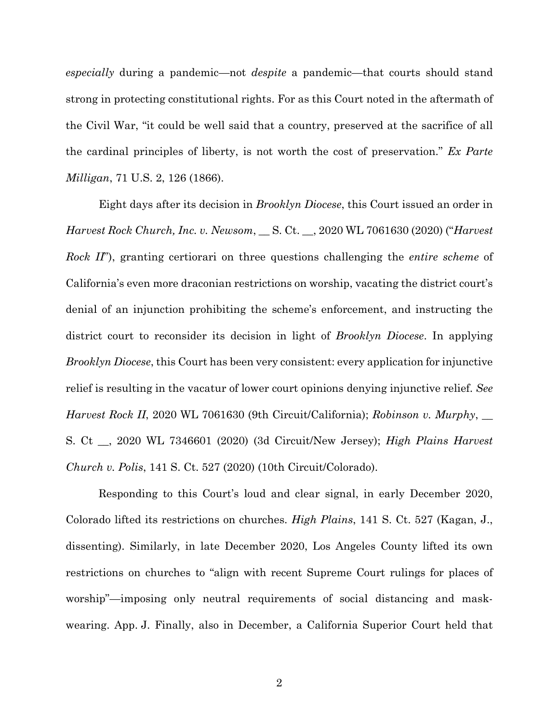*especially* during a pandemic—not *despite* a pandemic—that courts should stand strong in protecting constitutional rights. For as this Court noted in the aftermath of the Civil War, "it could be well said that a country, preserved at the sacrifice of all the cardinal principles of liberty, is not worth the cost of preservation." *Ex Parte Milligan*, 71 U.S. 2, 126 (1866).

Eight days after its decision in *Brooklyn Diocese*, this Court issued an order in *Harvest Rock Church, Inc. v. Newsom*, \_\_ S. Ct. \_\_, 2020 WL 7061630 (2020) ("*Harvest Rock II*"), granting certiorari on three questions challenging the *entire scheme* of California's even more draconian restrictions on worship, vacating the district court's denial of an injunction prohibiting the scheme's enforcement, and instructing the district court to reconsider its decision in light of *Brooklyn Diocese*. In applying *Brooklyn Diocese*, this Court has been very consistent: every application for injunctive relief is resulting in the vacatur of lower court opinions denying injunctive relief. *See Harvest Rock II*, 2020 WL 7061630 (9th Circuit/California); *Robinson v. Murphy*, \_\_ S. Ct \_\_, 2020 WL 7346601 (2020) (3d Circuit/New Jersey); *High Plains Harvest Church v. Polis*, 141 S. Ct. 527 (2020) (10th Circuit/Colorado).

Responding to this Court's loud and clear signal, in early December 2020, Colorado lifted its restrictions on churches. *High Plains*, 141 S. Ct. 527 (Kagan, J., dissenting). Similarly, in late December 2020, Los Angeles County lifted its own restrictions on churches to "align with recent Supreme Court rulings for places of worship"—imposing only neutral requirements of social distancing and maskwearing. App. J. Finally, also in December, a California Superior Court held that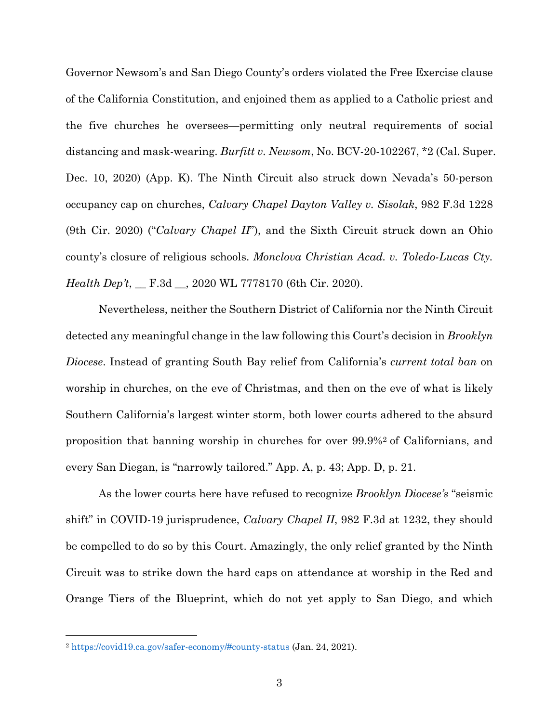Governor Newsom's and San Diego County's orders violated the Free Exercise clause of the California Constitution, and enjoined them as applied to a Catholic priest and the five churches he oversees—permitting only neutral requirements of social distancing and mask-wearing. *Burfitt v. Newsom*, No. BCV-20-102267, \*2 (Cal. Super. Dec. 10, 2020) (App. K). The Ninth Circuit also struck down Nevada's 50-person occupancy cap on churches, *Calvary Chapel Dayton Valley v. Sisolak*, 982 F.3d 1228 (9th Cir. 2020) ("*Calvary Chapel II*"), and the Sixth Circuit struck down an Ohio county's closure of religious schools. *Monclova Christian Acad. v. Toledo-Lucas Cty. Health Dep't*, \_\_ F.3d \_\_, 2020 WL 7778170 (6th Cir. 2020).

Nevertheless, neither the Southern District of California nor the Ninth Circuit detected any meaningful change in the law following this Court's decision in *Brooklyn Diocese*. Instead of granting South Bay relief from California's *current total ban* on worship in churches, on the eve of Christmas, and then on the eve of what is likely Southern California's largest winter storm, both lower courts adhered to the absurd proposition that banning worship in churches for over 99.9%[2](#page-15-0) of Californians, and every San Diegan, is "narrowly tailored." App. A, p. 43; App. D, p. 21.

As the lower courts here have refused to recognize *Brooklyn Diocese's* "seismic shift" in COVID-19 jurisprudence, *Calvary Chapel II*, 982 F.3d at 1232, they should be compelled to do so by this Court. Amazingly, the only relief granted by the Ninth Circuit was to strike down the hard caps on attendance at worship in the Red and Orange Tiers of the Blueprint, which do not yet apply to San Diego, and which

<u>.</u>

<span id="page-15-0"></span><sup>2</sup> https://covid19.ca.gov/safer-economy/#county-status (Jan. 24, 2021).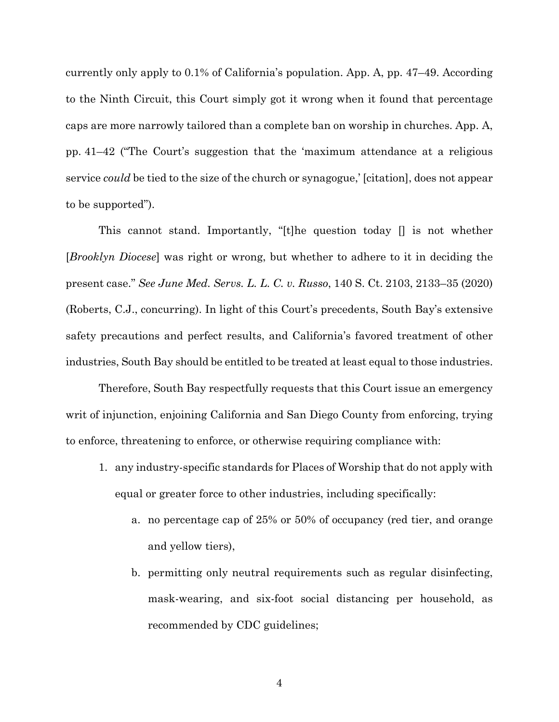currently only apply to 0.1% of California's population. App. A, pp. 47–49. According to the Ninth Circuit, this Court simply got it wrong when it found that percentage caps are more narrowly tailored than a complete ban on worship in churches. App. A, pp. 41–42 ("The Court's suggestion that the 'maximum attendance at a religious service *could* be tied to the size of the church or synagogue,' [citation], does not appear to be supported").

This cannot stand. Importantly, "[t]he question today [] is not whether [*Brooklyn Diocese*] was right or wrong, but whether to adhere to it in deciding the present case." *See June Med. Servs. L. L. C. v. Russo*, 140 S. Ct. 2103, 2133–35 (2020) (Roberts, C.J., concurring). In light of this Court's precedents, South Bay's extensive safety precautions and perfect results, and California's favored treatment of other industries, South Bay should be entitled to be treated at least equal to those industries.

Therefore, South Bay respectfully requests that this Court issue an emergency writ of injunction, enjoining California and San Diego County from enforcing, trying to enforce, threatening to enforce, or otherwise requiring compliance with:

- 1. any industry-specific standards for Places of Worship that do not apply with equal or greater force to other industries, including specifically:
	- a. no percentage cap of 25% or 50% of occupancy (red tier, and orange and yellow tiers),
	- b. permitting only neutral requirements such as regular disinfecting, mask-wearing, and six-foot social distancing per household, as recommended by CDC guidelines;

4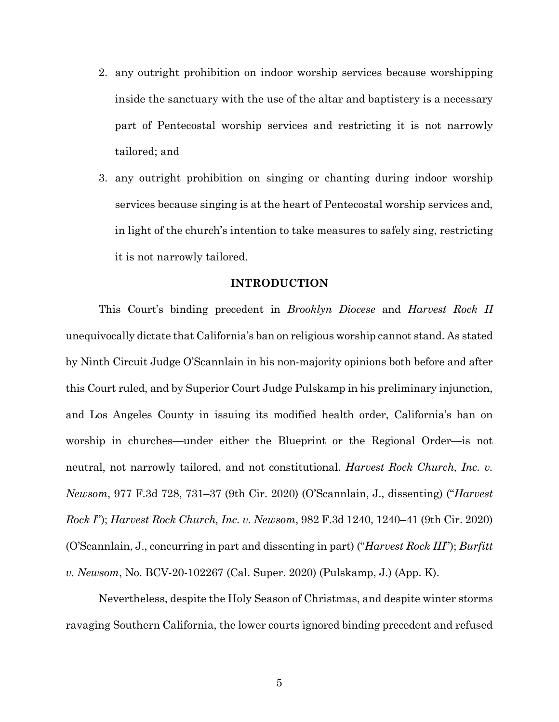- 2. any outright prohibition on indoor worship services because worshipping inside the sanctuary with the use of the altar and baptistery is a necessary part of Pentecostal worship services and restricting it is not narrowly tailored; and
- 3. any outright prohibition on singing or chanting during indoor worship services because singing is at the heart of Pentecostal worship services and, in light of the church's intention to take measures to safely sing, restricting it is not narrowly tailored.

### **INTRODUCTION**

This Court's binding precedent in *Brooklyn Diocese* and *Harvest Rock II* unequivocally dictate that California's ban on religious worship cannot stand. As stated by Ninth Circuit Judge O'Scannlain in his non-majority opinions both before and after this Court ruled, and by Superior Court Judge Pulskamp in his preliminary injunction, and Los Angeles County in issuing its modified health order, California's ban on worship in churches—under either the Blueprint or the Regional Order—is not neutral, not narrowly tailored, and not constitutional. *Harvest Rock Church, Inc. v. Newsom*, 977 F.3d 728, 731–37 (9th Cir. 2020) (O'Scannlain, J., dissenting) ("*Harvest Rock I*"); *Harvest Rock Church, Inc. v. Newsom*, 982 F.3d 1240, 1240–41 (9th Cir. 2020) (O'Scannlain, J., concurring in part and dissenting in part) ("*Harvest Rock III*"); *Burfitt v. Newsom*, No. BCV-20-102267 (Cal. Super. 2020) (Pulskamp, J.) (App. K).

Nevertheless, despite the Holy Season of Christmas, and despite winter storms ravaging Southern California, the lower courts ignored binding precedent and refused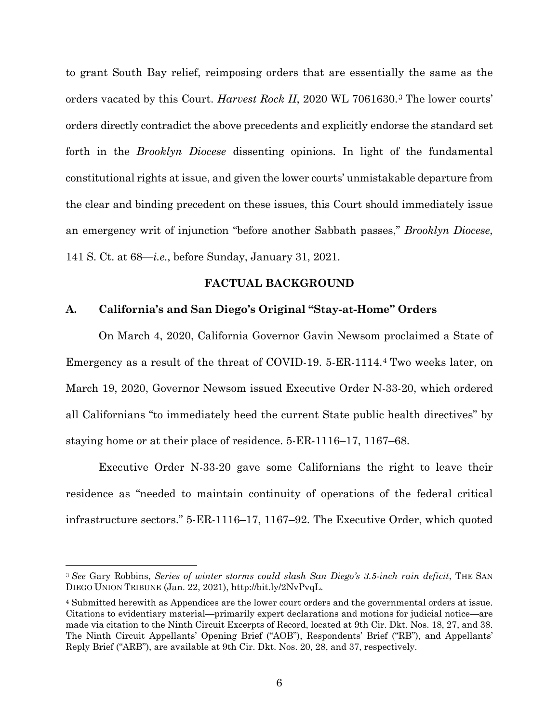to grant South Bay relief, reimposing orders that are essentially the same as the orders vacated by this Court. *Harvest Rock II*, 2020 WL 7061630.[3](#page-18-0) The lower courts' orders directly contradict the above precedents and explicitly endorse the standard set forth in the *Brooklyn Diocese* dissenting opinions. In light of the fundamental constitutional rights at issue, and given the lower courts' unmistakable departure from the clear and binding precedent on these issues, this Court should immediately issue an emergency writ of injunction "before another Sabbath passes," *Brooklyn Diocese*, 141 S. Ct. at 68—*i.e.*, before Sunday, January 31, 2021.

### **FACTUAL BACKGROUND**

### **A. California's and San Diego's Original "Stay-at-Home" Orders**

On March 4, 2020, California Governor Gavin Newsom proclaimed a State of Emergency as a result of the threat of COVID-19. 5-ER-1114.[4](#page-18-1) Two weeks later, on March 19, 2020, Governor Newsom issued Executive Order N-33-20, which ordered all Californians "to immediately heed the current State public health directives" by staying home or at their place of residence. 5-ER-1116–17, 1167–68.

Executive Order N-33-20 gave some Californians the right to leave their residence as "needed to maintain continuity of operations of the federal critical infrastructure sectors." 5-ER-1116–17, 1167–92. The Executive Order, which quoted

-

<span id="page-18-0"></span><sup>3</sup> *See* Gary Robbins, *Series of winter storms could slash San Diego's 3.5-inch rain deficit*, THE SAN DIEGO UNION TRIBUNE (Jan. 22, 2021), http://bit.ly/2NvPvqL.

<span id="page-18-1"></span><sup>4</sup> Submitted herewith as Appendices are the lower court orders and the governmental orders at issue. Citations to evidentiary material—primarily expert declarations and motions for judicial notice—are made via citation to the Ninth Circuit Excerpts of Record, located at 9th Cir. Dkt. Nos. 18, 27, and 38. The Ninth Circuit Appellants' Opening Brief ("AOB"), Respondents' Brief ("RB"), and Appellants' Reply Brief ("ARB"), are available at 9th Cir. Dkt. Nos. 20, 28, and 37, respectively.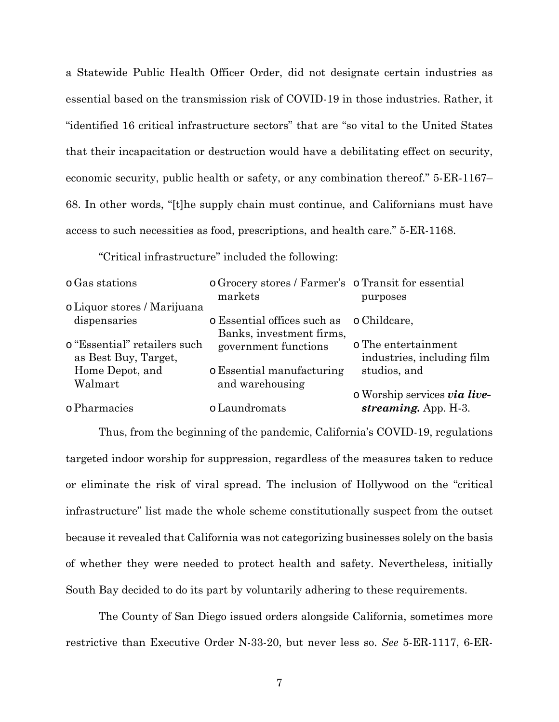a Statewide Public Health Officer Order, did not designate certain industries as essential based on the transmission risk of COVID-19 in those industries. Rather, it "identified 16 critical infrastructure sectors" that are "so vital to the United States that their incapacitation or destruction would have a debilitating effect on security, economic security, public health or safety, or any combination thereof." 5-ER-1167– 68. In other words, "[t]he supply chain must continue, and Californians must have access to such necessities as food, prescriptions, and health care." 5-ER-1168.

"Critical infrastructure" included the following:

| markets                   | purposes                                                                                                                                               |
|---------------------------|--------------------------------------------------------------------------------------------------------------------------------------------------------|
|                           |                                                                                                                                                        |
|                           |                                                                                                                                                        |
| Banks, investment firms,  |                                                                                                                                                        |
|                           | o The entertainment                                                                                                                                    |
|                           | industries, including film                                                                                                                             |
| o Essential manufacturing | studios, and                                                                                                                                           |
| and warehousing           |                                                                                                                                                        |
|                           | o Worship services via live-                                                                                                                           |
| o Laundromats             | streaming. App. $H-3$ .                                                                                                                                |
|                           | o Grocery stores / Farmer's o Transit for essential<br>o Liquor stores / Marijuana<br>o Essential offices such as o Childcare,<br>government functions |

Thus, from the beginning of the pandemic, California's COVID-19, regulations targeted indoor worship for suppression, regardless of the measures taken to reduce or eliminate the risk of viral spread. The inclusion of Hollywood on the "critical infrastructure" list made the whole scheme constitutionally suspect from the outset because it revealed that California was not categorizing businesses solely on the basis of whether they were needed to protect health and safety. Nevertheless, initially South Bay decided to do its part by voluntarily adhering to these requirements.

The County of San Diego issued orders alongside California, sometimes more restrictive than Executive Order N-33-20, but never less so. *See* 5-ER-1117, 6-ER-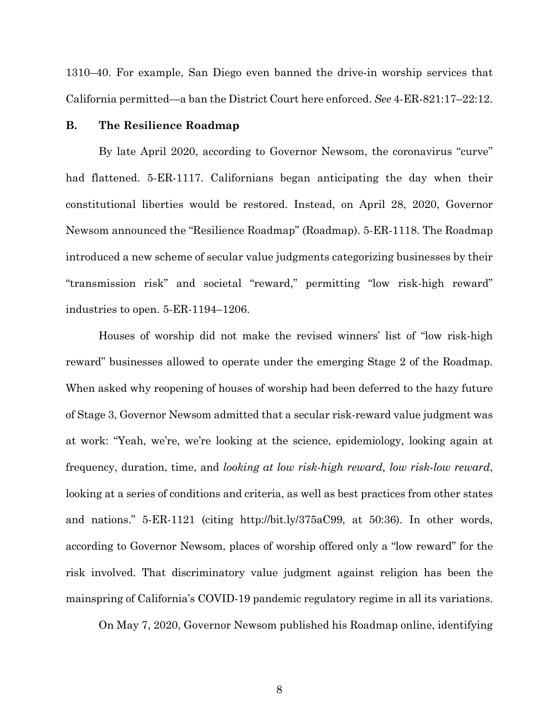1310–40. For example, San Diego even banned the drive-in worship services that California permitted—a ban the District Court here enforced. *See* 4-ER-821:17–22:12.

### **B. The Resilience Roadmap**

By late April 2020, according to Governor Newsom, the coronavirus "curve" had flattened. 5-ER-1117. Californians began anticipating the day when their constitutional liberties would be restored. Instead, on April 28, 2020, Governor Newsom announced the "Resilience Roadmap" (Roadmap). 5-ER-1118. The Roadmap introduced a new scheme of secular value judgments categorizing businesses by their "transmission risk" and societal "reward," permitting "low risk-high reward" industries to open. 5-ER-1194–1206.

Houses of worship did not make the revised winners' list of "low risk-high reward" businesses allowed to operate under the emerging Stage 2 of the Roadmap. When asked why reopening of houses of worship had been deferred to the hazy future of Stage 3, Governor Newsom admitted that a secular risk-reward value judgment was at work: "Yeah, we're, we're looking at the science, epidemiology, looking again at frequency, duration, time, and *looking at low risk-high reward, low risk-low reward*, looking at a series of conditions and criteria, as well as best practices from other states and nations." 5-ER-1121 (citing http://bit.ly/375aC99, at 50:36). In other words, according to Governor Newsom, places of worship offered only a "low reward" for the risk involved. That discriminatory value judgment against religion has been the mainspring of California's COVID-19 pandemic regulatory regime in all its variations.

On May 7, 2020, Governor Newsom published his Roadmap online, identifying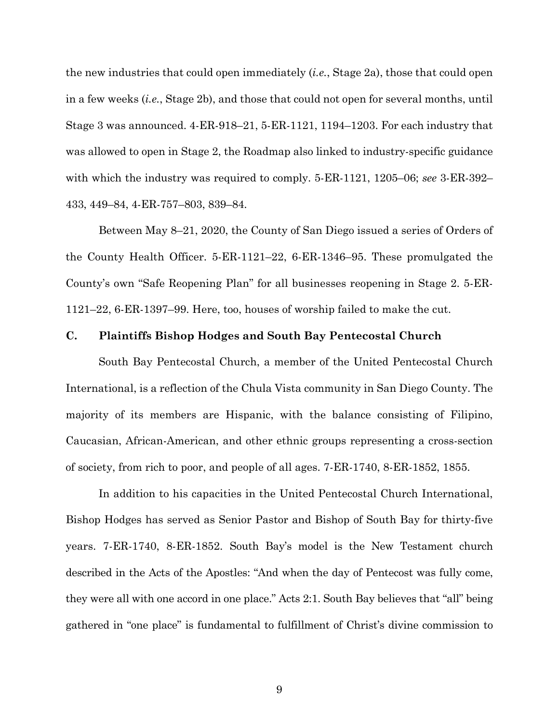the new industries that could open immediately (*i.e.*, Stage 2a), those that could open in a few weeks (*i.e.*, Stage 2b), and those that could not open for several months, until Stage 3 was announced. 4-ER-918–21, 5-ER-1121, 1194–1203. For each industry that was allowed to open in Stage 2, the Roadmap also linked to industry-specific guidance with which the industry was required to comply. 5-ER-1121, 1205–06; *see* 3-ER-392– 433, 449–84, 4-ER-757–803, 839–84.

Between May 8–21, 2020, the County of San Diego issued a series of Orders of the County Health Officer. 5-ER-1121–22, 6-ER-1346–95. These promulgated the County's own "Safe Reopening Plan" for all businesses reopening in Stage 2. 5-ER-1121–22, 6-ER-1397–99. Here, too, houses of worship failed to make the cut.

## **C. Plaintiffs Bishop Hodges and South Bay Pentecostal Church**

South Bay Pentecostal Church, a member of the United Pentecostal Church International, is a reflection of the Chula Vista community in San Diego County. The majority of its members are Hispanic, with the balance consisting of Filipino, Caucasian, African-American, and other ethnic groups representing a cross-section of society, from rich to poor, and people of all ages. 7-ER-1740, 8-ER-1852, 1855.

In addition to his capacities in the United Pentecostal Church International, Bishop Hodges has served as Senior Pastor and Bishop of South Bay for thirty-five years. 7-ER-1740, 8-ER-1852. South Bay's model is the New Testament church described in the Acts of the Apostles: "And when the day of Pentecost was fully come, they were all with one accord in one place." Acts 2:1. South Bay believes that "all" being gathered in "one place" is fundamental to fulfillment of Christ's divine commission to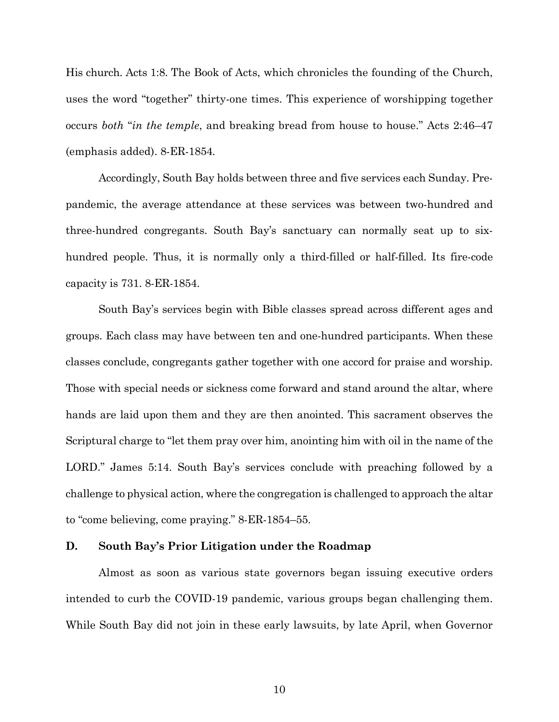His church. Acts 1:8. The Book of Acts, which chronicles the founding of the Church, uses the word "together" thirty-one times. This experience of worshipping together occurs *both* "*in the temple*, and breaking bread from house to house." Acts 2:46–47 (emphasis added). 8-ER-1854.

Accordingly, South Bay holds between three and five services each Sunday. Prepandemic, the average attendance at these services was between two-hundred and three-hundred congregants. South Bay's sanctuary can normally seat up to sixhundred people. Thus, it is normally only a third-filled or half-filled. Its fire-code capacity is 731. 8-ER-1854.

South Bay's services begin with Bible classes spread across different ages and groups. Each class may have between ten and one-hundred participants. When these classes conclude, congregants gather together with one accord for praise and worship. Those with special needs or sickness come forward and stand around the altar, where hands are laid upon them and they are then anointed. This sacrament observes the Scriptural charge to "let them pray over him, anointing him with oil in the name of the LORD." James 5:14. South Bay's services conclude with preaching followed by a challenge to physical action, where the congregation is challenged to approach the altar to "come believing, come praying." 8-ER-1854–55.

### **D. South Bay's Prior Litigation under the Roadmap**

Almost as soon as various state governors began issuing executive orders intended to curb the COVID-19 pandemic, various groups began challenging them. While South Bay did not join in these early lawsuits, by late April, when Governor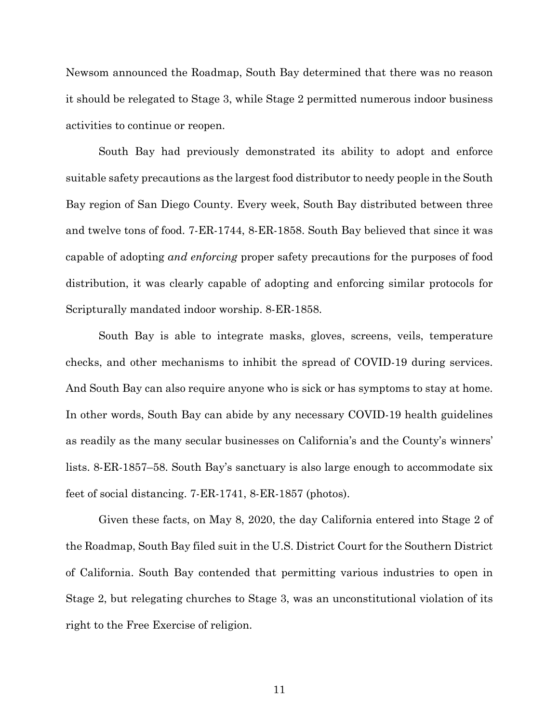Newsom announced the Roadmap, South Bay determined that there was no reason it should be relegated to Stage 3, while Stage 2 permitted numerous indoor business activities to continue or reopen.

South Bay had previously demonstrated its ability to adopt and enforce suitable safety precautions as the largest food distributor to needy people in the South Bay region of San Diego County. Every week, South Bay distributed between three and twelve tons of food. 7-ER-1744, 8-ER-1858. South Bay believed that since it was capable of adopting *and enforcing* proper safety precautions for the purposes of food distribution, it was clearly capable of adopting and enforcing similar protocols for Scripturally mandated indoor worship. 8-ER-1858.

South Bay is able to integrate masks, gloves, screens, veils, temperature checks, and other mechanisms to inhibit the spread of COVID-19 during services. And South Bay can also require anyone who is sick or has symptoms to stay at home. In other words, South Bay can abide by any necessary COVID-19 health guidelines as readily as the many secular businesses on California's and the County's winners' lists. 8-ER-1857–58. South Bay's sanctuary is also large enough to accommodate six feet of social distancing. 7-ER-1741, 8-ER-1857 (photos).

Given these facts, on May 8, 2020, the day California entered into Stage 2 of the Roadmap, South Bay filed suit in the U.S. District Court for the Southern District of California. South Bay contended that permitting various industries to open in Stage 2, but relegating churches to Stage 3, was an unconstitutional violation of its right to the Free Exercise of religion.

11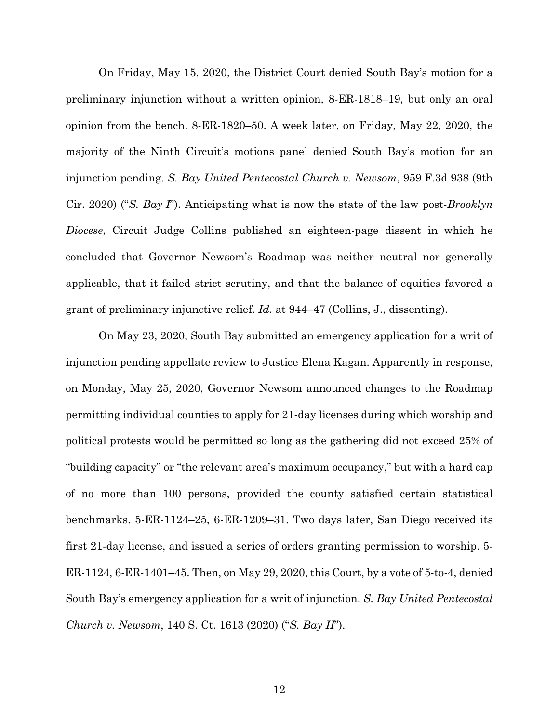On Friday, May 15, 2020, the District Court denied South Bay's motion for a preliminary injunction without a written opinion, 8-ER-1818–19, but only an oral opinion from the bench. 8-ER-1820–50. A week later, on Friday, May 22, 2020, the majority of the Ninth Circuit's motions panel denied South Bay's motion for an injunction pending. *S. Bay United Pentecostal Church v. Newsom*, 959 F.3d 938 (9th Cir. 2020) ("*S. Bay I*"). Anticipating what is now the state of the law post-*Brooklyn Diocese*, Circuit Judge Collins published an eighteen-page dissent in which he concluded that Governor Newsom's Roadmap was neither neutral nor generally applicable, that it failed strict scrutiny, and that the balance of equities favored a grant of preliminary injunctive relief. *Id.* at 944–47 (Collins, J., dissenting).

On May 23, 2020, South Bay submitted an emergency application for a writ of injunction pending appellate review to Justice Elena Kagan. Apparently in response, on Monday, May 25, 2020, Governor Newsom announced changes to the Roadmap permitting individual counties to apply for 21-day licenses during which worship and political protests would be permitted so long as the gathering did not exceed 25% of "building capacity" or "the relevant area's maximum occupancy," but with a hard cap of no more than 100 persons, provided the county satisfied certain statistical benchmarks. 5-ER-1124–25, 6-ER-1209–31. Two days later, San Diego received its first 21-day license, and issued a series of orders granting permission to worship. 5- ER-1124, 6-ER-1401–45. Then, on May 29, 2020, this Court, by a vote of 5-to-4, denied South Bay's emergency application for a writ of injunction. *S. Bay United Pentecostal Church v. Newsom*, 140 S. Ct. 1613 (2020) ("*S. Bay II*").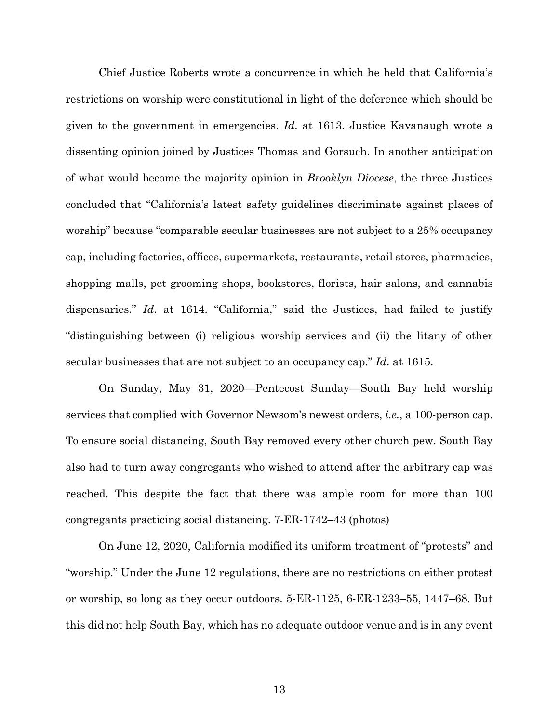Chief Justice Roberts wrote a concurrence in which he held that California's restrictions on worship were constitutional in light of the deference which should be given to the government in emergencies. *Id*. at 1613. Justice Kavanaugh wrote a dissenting opinion joined by Justices Thomas and Gorsuch. In another anticipation of what would become the majority opinion in *Brooklyn Diocese*, the three Justices concluded that "California's latest safety guidelines discriminate against places of worship" because "comparable secular businesses are not subject to a 25% occupancy cap, including factories, offices, supermarkets, restaurants, retail stores, pharmacies, shopping malls, pet grooming shops, bookstores, florists, hair salons, and cannabis dispensaries." *Id*. at 1614. "California," said the Justices, had failed to justify "distinguishing between (i) religious worship services and (ii) the litany of other secular businesses that are not subject to an occupancy cap." *Id*. at 1615.

On Sunday, May 31, 2020—Pentecost Sunday—South Bay held worship services that complied with Governor Newsom's newest orders, *i.e.*, a 100-person cap. To ensure social distancing, South Bay removed every other church pew. South Bay also had to turn away congregants who wished to attend after the arbitrary cap was reached. This despite the fact that there was ample room for more than 100 congregants practicing social distancing. 7-ER-1742–43 (photos)

On June 12, 2020, California modified its uniform treatment of "protests" and "worship." Under the June 12 regulations, there are no restrictions on either protest or worship, so long as they occur outdoors. 5-ER-1125, 6-ER-1233–55, 1447–68. But this did not help South Bay, which has no adequate outdoor venue and is in any event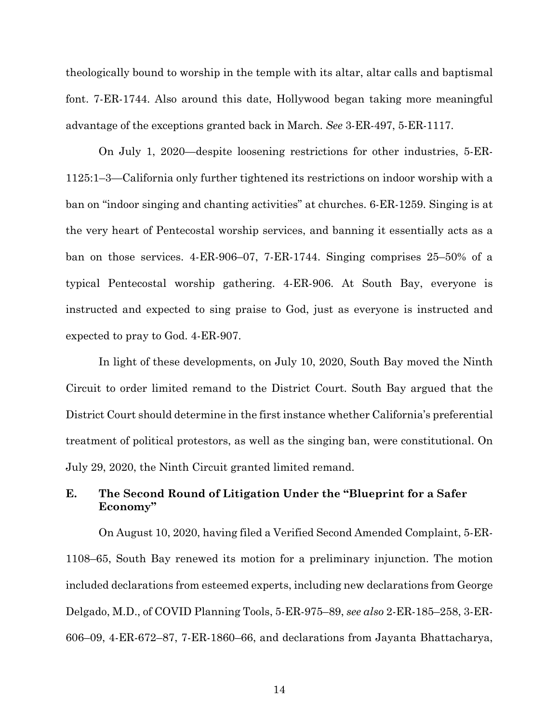theologically bound to worship in the temple with its altar, altar calls and baptismal font. 7-ER-1744. Also around this date, Hollywood began taking more meaningful advantage of the exceptions granted back in March. *See* 3-ER-497, 5-ER-1117.

On July 1, 2020—despite loosening restrictions for other industries, 5-ER-1125:1–3—California only further tightened its restrictions on indoor worship with a ban on "indoor singing and chanting activities" at churches. 6-ER-1259. Singing is at the very heart of Pentecostal worship services, and banning it essentially acts as a ban on those services. 4-ER-906–07, 7-ER-1744. Singing comprises 25–50% of a typical Pentecostal worship gathering. 4-ER-906. At South Bay, everyone is instructed and expected to sing praise to God, just as everyone is instructed and expected to pray to God. 4-ER-907.

In light of these developments, on July 10, 2020, South Bay moved the Ninth Circuit to order limited remand to the District Court. South Bay argued that the District Court should determine in the first instance whether California's preferential treatment of political protestors, as well as the singing ban, were constitutional. On July 29, 2020, the Ninth Circuit granted limited remand.

## **E. The Second Round of Litigation Under the "Blueprint for a Safer Economy"**

On August 10, 2020, having filed a Verified Second Amended Complaint, 5-ER-1108–65, South Bay renewed its motion for a preliminary injunction. The motion included declarations from esteemed experts, including new declarations from George Delgado, M.D., of COVID Planning Tools, 5-ER-975–89, *see also* 2-ER-185–258, 3-ER-606–09, 4-ER-672–87, 7-ER-1860–66, and declarations from Jayanta Bhattacharya,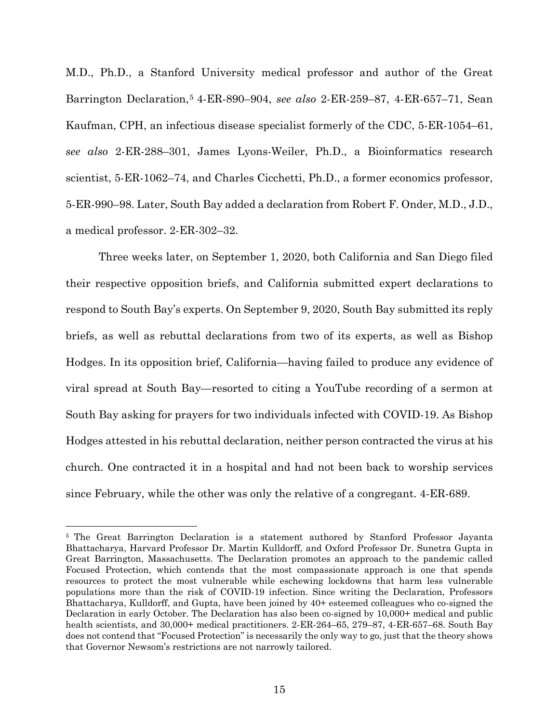M.D., Ph.D., a Stanford University medical professor and author of the Great Barrington Declaration,[5](#page-27-0) 4-ER-890–904, *see also* 2-ER-259–87, 4-ER-657–71, Sean Kaufman, CPH, an infectious disease specialist formerly of the CDC, 5-ER-1054–61, *see also* 2-ER-288–301, James Lyons-Weiler, Ph.D., a Bioinformatics research scientist, 5-ER-1062–74, and Charles Cicchetti, Ph.D., a former economics professor, 5-ER-990–98. Later, South Bay added a declaration from Robert F. Onder, M.D., J.D., a medical professor. 2-ER-302–32.

Three weeks later, on September 1, 2020, both California and San Diego filed their respective opposition briefs, and California submitted expert declarations to respond to South Bay's experts. On September 9, 2020, South Bay submitted its reply briefs, as well as rebuttal declarations from two of its experts, as well as Bishop Hodges. In its opposition brief, California—having failed to produce any evidence of viral spread at South Bay—resorted to citing a YouTube recording of a sermon at South Bay asking for prayers for two individuals infected with COVID-19. As Bishop Hodges attested in his rebuttal declaration, neither person contracted the virus at his church. One contracted it in a hospital and had not been back to worship services since February, while the other was only the relative of a congregant. 4-ER-689.

-

<span id="page-27-0"></span><sup>5</sup> The Great Barrington Declaration is a statement authored by Stanford Professor Jayanta Bhattacharya, Harvard Professor Dr. Martin Kulldorff, and Oxford Professor Dr. Sunetra Gupta in Great Barrington, Massachusetts. The Declaration promotes an approach to the pandemic called Focused Protection, which contends that the most compassionate approach is one that spends resources to protect the most vulnerable while eschewing lockdowns that harm less vulnerable populations more than the risk of COVID-19 infection. Since writing the Declaration, Professors Bhattacharya, Kulldorff, and Gupta, have been joined by 40+ esteemed colleagues who co-signed the Declaration in early October. The Declaration has also been co-signed by 10,000+ medical and public health scientists, and 30,000+ medical practitioners. 2-ER-264–65, 279–87, 4-ER-657–68. South Bay does not contend that "Focused Protection" is necessarily the only way to go, just that the theory shows that Governor Newsom's restrictions are not narrowly tailored.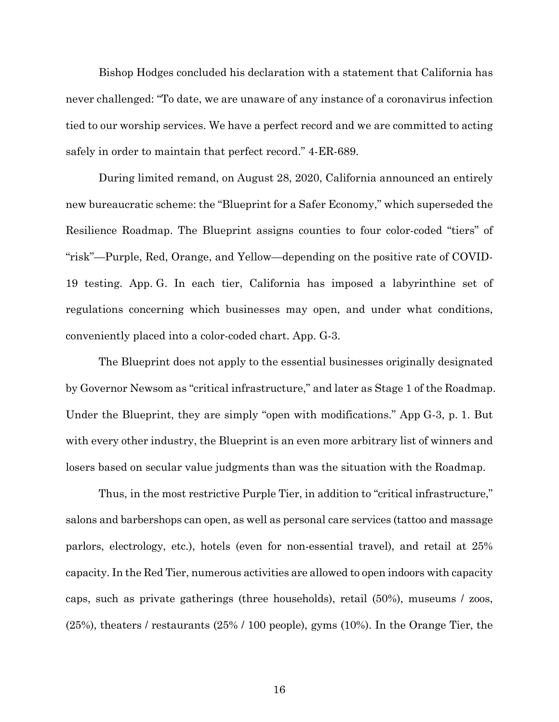Bishop Hodges concluded his declaration with a statement that California has never challenged: "To date, we are unaware of any instance of a coronavirus infection tied to our worship services. We have a perfect record and we are committed to acting safely in order to maintain that perfect record." 4-ER-689.

During limited remand, on August 28, 2020, California announced an entirely new bureaucratic scheme: the "Blueprint for a Safer Economy," which superseded the Resilience Roadmap. The Blueprint assigns counties to four color-coded "tiers" of "risk"—Purple, Red, Orange, and Yellow—depending on the positive rate of COVID-19 testing. App. G. In each tier, California has imposed a labyrinthine set of regulations concerning which businesses may open, and under what conditions, conveniently placed into a color-coded chart. App. G-3.

The Blueprint does not apply to the essential businesses originally designated by Governor Newsom as "critical infrastructure," and later as Stage 1 of the Roadmap. Under the Blueprint, they are simply "open with modifications." App G-3, p. 1. But with every other industry, the Blueprint is an even more arbitrary list of winners and losers based on secular value judgments than was the situation with the Roadmap.

Thus, in the most restrictive Purple Tier, in addition to "critical infrastructure," salons and barbershops can open, as well as personal care services (tattoo and massage parlors, electrology, etc.), hotels (even for non-essential travel), and retail at 25% capacity. In the Red Tier, numerous activities are allowed to open indoors with capacity caps, such as private gatherings (three households), retail (50%), museums / zoos, (25%), theaters / restaurants (25% / 100 people), gyms (10%). In the Orange Tier, the

16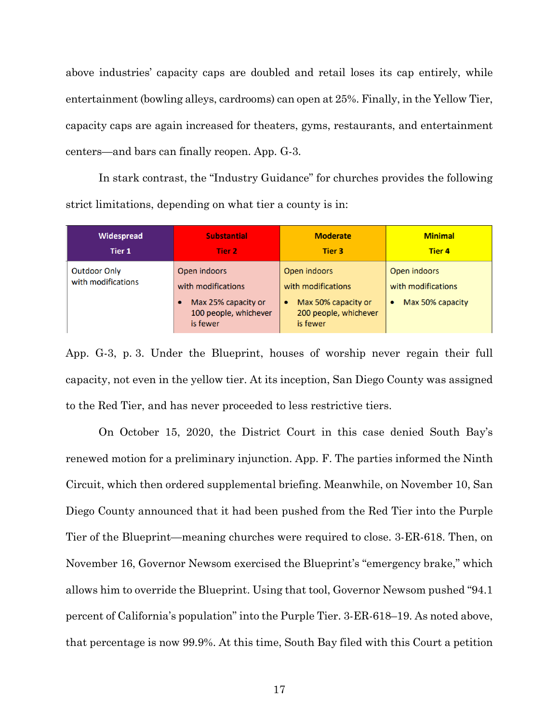above industries' capacity caps are doubled and retail loses its cap entirely, while entertainment (bowling alleys, cardrooms) can open at 25%. Finally, in the Yellow Tier, capacity caps are again increased for theaters, gyms, restaurants, and entertainment centers—and bars can finally reopen. App. G-3.

In stark contrast, the "Industry Guidance" for churches provides the following strict limitations, depending on what tier a county is in:

| Widespread                         | <b>Substantial</b>                                                                                          | <b>Moderate</b>                                                                                             | <b>Minimal</b>                                                      |
|------------------------------------|-------------------------------------------------------------------------------------------------------------|-------------------------------------------------------------------------------------------------------------|---------------------------------------------------------------------|
| Tier 1                             | Tier 2                                                                                                      | Tier 3                                                                                                      | <b>Tier 4</b>                                                       |
| Outdoor Only<br>with modifications | Open indoors<br>with modifications<br>Max 25% capacity or<br>$\bullet$<br>100 people, whichever<br>is fewer | Open indoors<br>with modifications<br>Max 50% capacity or<br>$\bullet$<br>200 people, whichever<br>is fewer | Open indoors<br>with modifications<br>Max 50% capacity<br>$\bullet$ |

App. G-3, p. 3. Under the Blueprint, houses of worship never regain their full capacity, not even in the yellow tier. At its inception, San Diego County was assigned to the Red Tier, and has never proceeded to less restrictive tiers.

On October 15, 2020, the District Court in this case denied South Bay's renewed motion for a preliminary injunction. App. F. The parties informed the Ninth Circuit, which then ordered supplemental briefing. Meanwhile, on November 10, San Diego County announced that it had been pushed from the Red Tier into the Purple Tier of the Blueprint—meaning churches were required to close. 3-ER-618. Then, on November 16, Governor Newsom exercised the Blueprint's "emergency brake," which allows him to override the Blueprint. Using that tool, Governor Newsom pushed "94.1 percent of California's population" into the Purple Tier. 3-ER-618–19. As noted above, that percentage is now 99.9%. At this time, South Bay filed with this Court a petition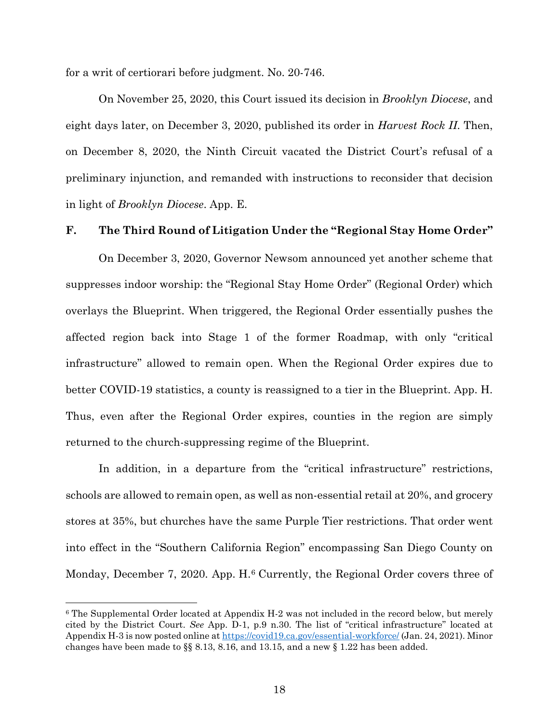for a writ of certiorari before judgment. No. 20-746.

On November 25, 2020, this Court issued its decision in *Brooklyn Diocese*, and eight days later, on December 3, 2020, published its order in *Harvest Rock II*. Then, on December 8, 2020, the Ninth Circuit vacated the District Court's refusal of a preliminary injunction, and remanded with instructions to reconsider that decision in light of *Brooklyn Diocese*. App. E.

## **F. The Third Round of Litigation Under the "Regional Stay Home Order"**

On December 3, 2020, Governor Newsom announced yet another scheme that suppresses indoor worship: the "Regional Stay Home Order" (Regional Order) which overlays the Blueprint. When triggered, the Regional Order essentially pushes the affected region back into Stage 1 of the former Roadmap, with only "critical infrastructure" allowed to remain open. When the Regional Order expires due to better COVID-19 statistics, a county is reassigned to a tier in the Blueprint. App. H. Thus, even after the Regional Order expires, counties in the region are simply returned to the church-suppressing regime of the Blueprint.

In addition, in a departure from the "critical infrastructure" restrictions, schools are allowed to remain open, as well as non-essential retail at 20%, and grocery stores at 35%, but churches have the same Purple Tier restrictions. That order went into effect in the "Southern California Region" encompassing San Diego County on Monday, December 7, 2020. App. H.<sup>[6](#page-30-0)</sup> Currently, the Regional Order covers three of

<u>.</u>

<span id="page-30-0"></span><sup>6</sup> The Supplemental Order located at Appendix H-2 was not included in the record below, but merely cited by the District Court. *See* App. D-1, p.9 n.30. The list of "critical infrastructure" located at Appendix H-3 is now posted online at https://covid19.ca.gov/essential-workforce/ (Jan. 24, 2021). Minor changes have been made to §§ 8.13, 8.16, and 13.15, and a new § 1.22 has been added.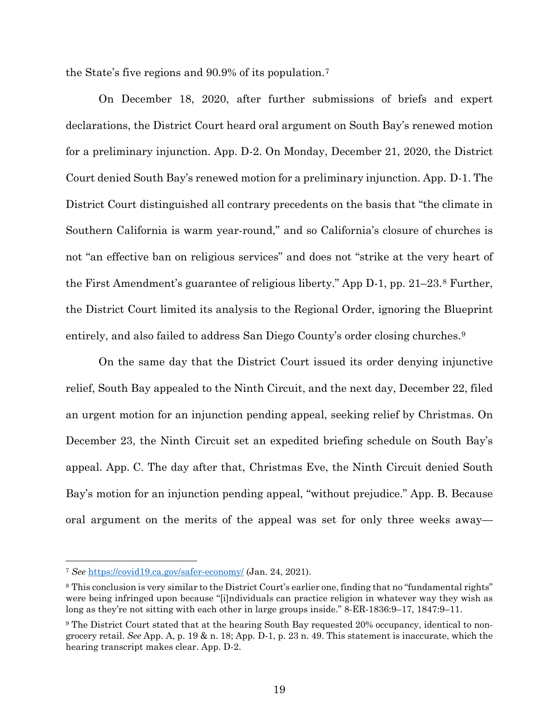the State's five regions and 90.9% of its population.[7](#page-31-0)

On December 18, 2020, after further submissions of briefs and expert declarations, the District Court heard oral argument on South Bay's renewed motion for a preliminary injunction. App. D-2. On Monday, December 21, 2020, the District Court denied South Bay's renewed motion for a preliminary injunction. App. D-1. The District Court distinguished all contrary precedents on the basis that "the climate in Southern California is warm year-round," and so California's closure of churches is not "an effective ban on religious services" and does not "strike at the very heart of the First Amendment's guarantee of religious liberty." App D-1, pp. 21–23.[8](#page-31-1) Further, the District Court limited its analysis to the Regional Order, ignoring the Blueprint entirely, and also failed to address San Diego County's order closing churches.<sup>[9](#page-31-2)</sup>

On the same day that the District Court issued its order denying injunctive relief, South Bay appealed to the Ninth Circuit, and the next day, December 22, filed an urgent motion for an injunction pending appeal, seeking relief by Christmas. On December 23, the Ninth Circuit set an expedited briefing schedule on South Bay's appeal. App. C. The day after that, Christmas Eve, the Ninth Circuit denied South Bay's motion for an injunction pending appeal, "without prejudice." App. B. Because oral argument on the merits of the appeal was set for only three weeks away—

<u>.</u>

<span id="page-31-0"></span><sup>7</sup> *See* https://covid19.ca.gov/safer-economy/ (Jan. 24, 2021).

<span id="page-31-1"></span><sup>&</sup>lt;sup>8</sup> This conclusion is very similar to the District Court's earlier one, finding that no "fundamental rights" were being infringed upon because "[i]ndividuals can practice religion in whatever way they wish as long as they're not sitting with each other in large groups inside." 8-ER-1836:9–17, 1847:9–11.

<span id="page-31-2"></span><sup>9</sup> The District Court stated that at the hearing South Bay requested 20% occupancy, identical to nongrocery retail. *See* App. A, p. 19 & n. 18; App. D-1, p. 23 n. 49. This statement is inaccurate, which the hearing transcript makes clear. App. D-2.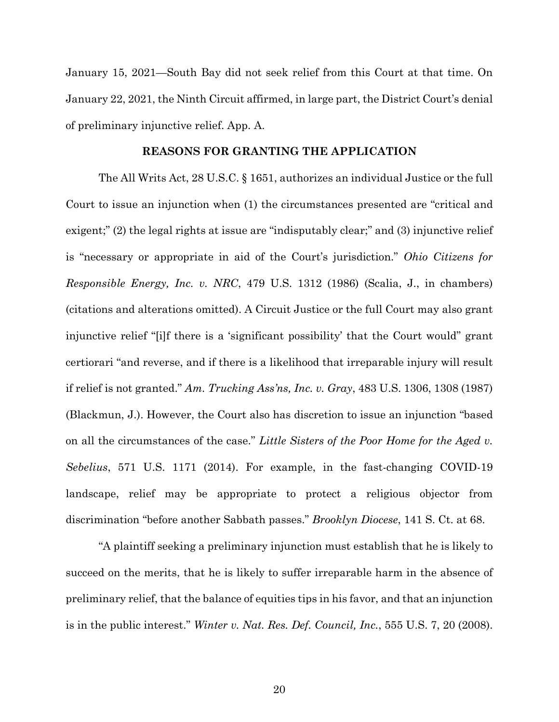January 15, 2021—South Bay did not seek relief from this Court at that time. On January 22, 2021, the Ninth Circuit affirmed, in large part, the District Court's denial of preliminary injunctive relief. App. A.

#### **REASONS FOR GRANTING THE APPLICATION**

The All Writs Act, 28 U.S.C. § 1651, authorizes an individual Justice or the full Court to issue an injunction when (1) the circumstances presented are "critical and exigent;" (2) the legal rights at issue are "indisputably clear;" and (3) injunctive relief is "necessary or appropriate in aid of the Court's jurisdiction." *Ohio Citizens for Responsible Energy, Inc. v. NRC*, 479 U.S. 1312 (1986) (Scalia, J., in chambers) (citations and alterations omitted). A Circuit Justice or the full Court may also grant injunctive relief "[i]f there is a 'significant possibility' that the Court would" grant certiorari "and reverse, and if there is a likelihood that irreparable injury will result if relief is not granted." *Am. Trucking Ass'ns, Inc. v. Gray*, 483 U.S. 1306, 1308 (1987) (Blackmun, J.). However, the Court also has discretion to issue an injunction "based on all the circumstances of the case." *Little Sisters of the Poor Home for the Aged v. Sebelius*, 571 U.S. 1171 (2014). For example, in the fast-changing COVID-19 landscape, relief may be appropriate to protect a religious objector from discrimination "before another Sabbath passes." *Brooklyn Diocese*, 141 S. Ct. at 68.

"A plaintiff seeking a preliminary injunction must establish that he is likely to succeed on the merits, that he is likely to suffer irreparable harm in the absence of preliminary relief, that the balance of equities tips in his favor, and that an injunction is in the public interest." *Winter v. Nat. Res. Def. Council, Inc.*, 555 U.S. 7, 20 (2008).

20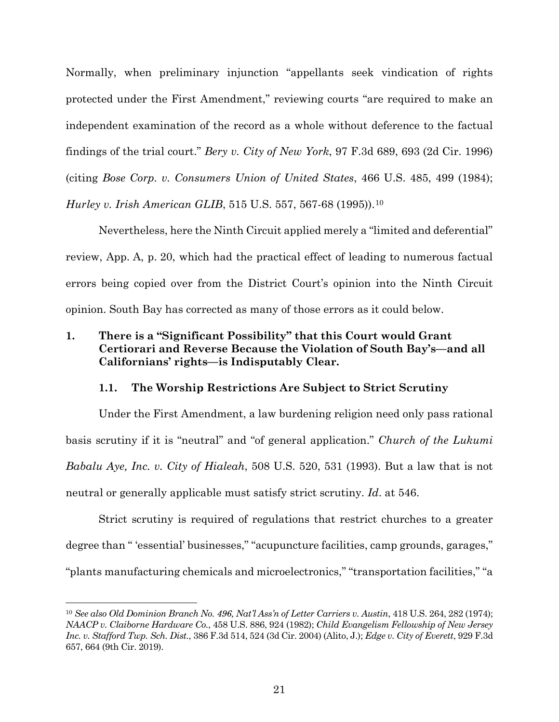Normally, when preliminary injunction "appellants seek vindication of rights protected under the First Amendment," reviewing courts "are required to make an independent examination of the record as a whole without deference to the factual findings of the trial court." *Bery v. City of New York*, 97 F.3d 689, 693 (2d Cir. 1996) (citing *Bose Corp. v. Consumers Union of United States*, 466 U.S. 485, 499 (1984); *Hurley v. Irish American GLIB*, 515 U.S. 557, 567-68 (1995)).<sup>[10](#page-33-0)</sup>

Nevertheless, here the Ninth Circuit applied merely a "limited and deferential" review, App. A, p. 20, which had the practical effect of leading to numerous factual errors being copied over from the District Court's opinion into the Ninth Circuit opinion. South Bay has corrected as many of those errors as it could below.

## **1. There is a "Significant Possibility" that this Court would Grant Certiorari and Reverse Because the Violation of South Bay's—and all Californians' rights—is Indisputably Clear.**

## **1.1. The Worship Restrictions Are Subject to Strict Scrutiny**

Under the First Amendment, a law burdening religion need only pass rational basis scrutiny if it is "neutral" and "of general application." *Church of the Lukumi Babalu Aye, Inc. v. City of Hialeah*, 508 U.S. 520, 531 (1993). But a law that is not neutral or generally applicable must satisfy strict scrutiny. *Id*. at 546.

Strict scrutiny is required of regulations that restrict churches to a greater degree than " 'essential' businesses," "acupuncture facilities, camp grounds, garages," "plants manufacturing chemicals and microelectronics," "transportation facilities," "a

<u>.</u>

<span id="page-33-0"></span><sup>10</sup> *See also Old Dominion Branch No. 496, Nat'l Ass'n of Letter Carriers v. Austin*, 418 U.S. 264, 282 (1974); *NAACP v. Claiborne Hardware Co.*, 458 U.S. 886, 924 (1982); *Child Evangelism Fellowship of New Jersey Inc. v. Stafford Twp. Sch. Dist.*, 386 F.3d 514, 524 (3d Cir. 2004) (Alito, J.); *Edge v. City of Everett*, 929 F.3d 657, 664 (9th Cir. 2019).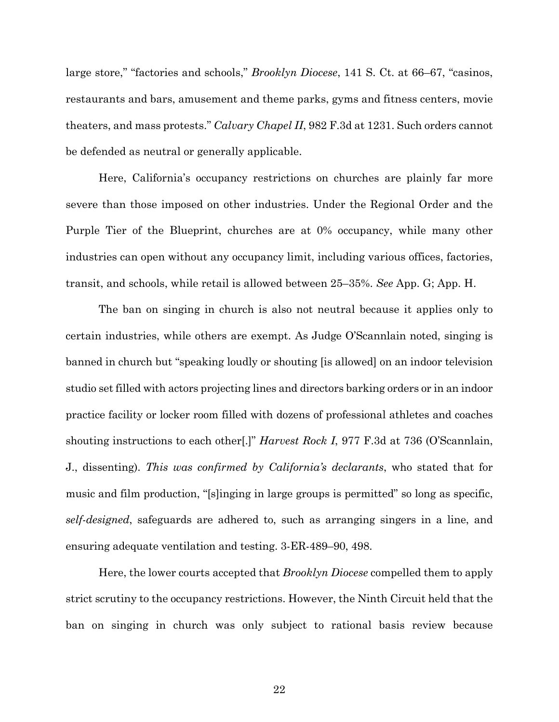large store," "factories and schools," *Brooklyn Diocese*, 141 S. Ct. at 66–67, "casinos, restaurants and bars, amusement and theme parks, gyms and fitness centers, movie theaters, and mass protests." *Calvary Chapel II*, 982 F.3d at 1231. Such orders cannot be defended as neutral or generally applicable.

Here, California's occupancy restrictions on churches are plainly far more severe than those imposed on other industries. Under the Regional Order and the Purple Tier of the Blueprint, churches are at 0% occupancy, while many other industries can open without any occupancy limit, including various offices, factories, transit, and schools, while retail is allowed between 25–35%. *See* App. G; App. H.

The ban on singing in church is also not neutral because it applies only to certain industries, while others are exempt. As Judge O'Scannlain noted, singing is banned in church but "speaking loudly or shouting [is allowed] on an indoor television studio set filled with actors projecting lines and directors barking orders or in an indoor practice facility or locker room filled with dozens of professional athletes and coaches shouting instructions to each other[.]" *Harvest Rock I*, 977 F.3d at 736 (O'Scannlain, J., dissenting). *This was confirmed by California's declarants*, who stated that for music and film production, "[s]inging in large groups is permitted" so long as specific, *self-designed*, safeguards are adhered to, such as arranging singers in a line, and ensuring adequate ventilation and testing. 3-ER-489–90, 498.

Here, the lower courts accepted that *Brooklyn Diocese* compelled them to apply strict scrutiny to the occupancy restrictions. However, the Ninth Circuit held that the ban on singing in church was only subject to rational basis review because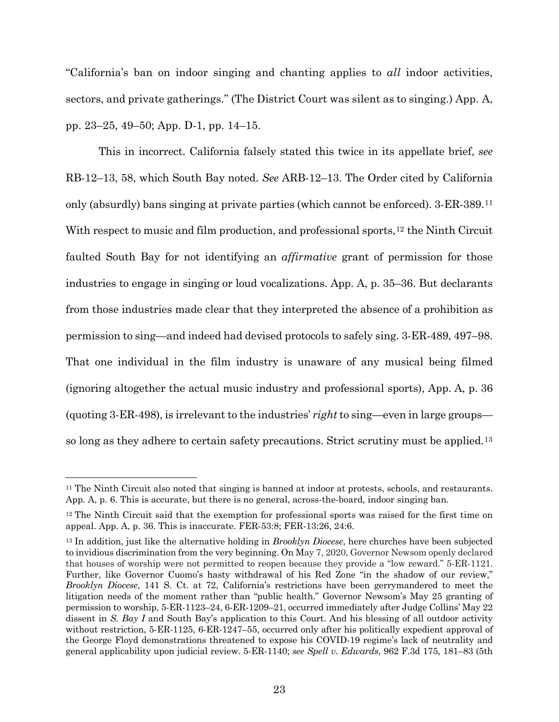"California's ban on indoor singing and chanting applies to *all* indoor activities, sectors, and private gatherings." (The District Court was silent as to singing.) App. A, pp. 23–25, 49–50; App. D-1, pp. 14–15.

This in incorrect. California falsely stated this twice in its appellate brief, *see* RB-12–13, 58, which South Bay noted. *See* ARB-12–13. The Order cited by California only (absurdly) bans singing at private parties (which cannot be enforced). 3-ER-389.[11](#page-35-0) With respect to music and film production, and professional sports,<sup>[12](#page-35-1)</sup> the Ninth Circuit faulted South Bay for not identifying an *affirmative* grant of permission for those industries to engage in singing or loud vocalizations. App. A, p. 35–36. But declarants from those industries made clear that they interpreted the absence of a prohibition as permission to sing—and indeed had devised protocols to safely sing. 3-ER-489, 497–98. That one individual in the film industry is unaware of any musical being filmed (ignoring altogether the actual music industry and professional sports), App. A, p. 36 (quoting 3-ER-498), is irrelevant to the industries' *right* to sing—even in large groups so long as they adhere to certain safety precautions. Strict scrutiny must be applied.[13](#page-35-2)

<u>.</u>

<span id="page-35-0"></span><sup>11</sup> The Ninth Circuit also noted that singing is banned at indoor at protests, schools, and restaurants. App. A, p. 6. This is accurate, but there is no general, across-the-board, indoor singing ban.

<span id="page-35-1"></span><sup>&</sup>lt;sup>12</sup> The Ninth Circuit said that the exemption for professional sports was raised for the first time on appeal. App. A, p. 36. This is inaccurate. FER-53:8; FER-13:26, 24:6.

<span id="page-35-2"></span><sup>13</sup> In addition, just like the alternative holding in *Brooklyn Diocese*, here churches have been subjected to invidious discrimination from the very beginning. On May 7, 2020, Governor Newsom openly declared that houses of worship were not permitted to reopen because they provide a "low reward." 5-ER-1121. Further, like Governor Cuomo's hasty withdrawal of his Red Zone "in the shadow of our review," *Brooklyn Diocese*, 141 S. Ct. at 72, California's restrictions have been gerrymandered to meet the litigation needs of the moment rather than "public health." Governor Newsom's May 25 granting of permission to worship, 5-ER-1123–24, 6-ER-1209–21, occurred immediately after Judge Collins' May 22 dissent in *S. Bay I* and South Bay's application to this Court. And his blessing of all outdoor activity without restriction, 5-ER-1125, 6-ER-1247–55, occurred only after his politically expedient approval of the George Floyd demonstrations threatened to expose his COVID-19 regime's lack of neutrality and general applicability upon judicial review. 5-ER-1140; *see Spell v. Edwards*, 962 F.3d 175, 181–83 (5th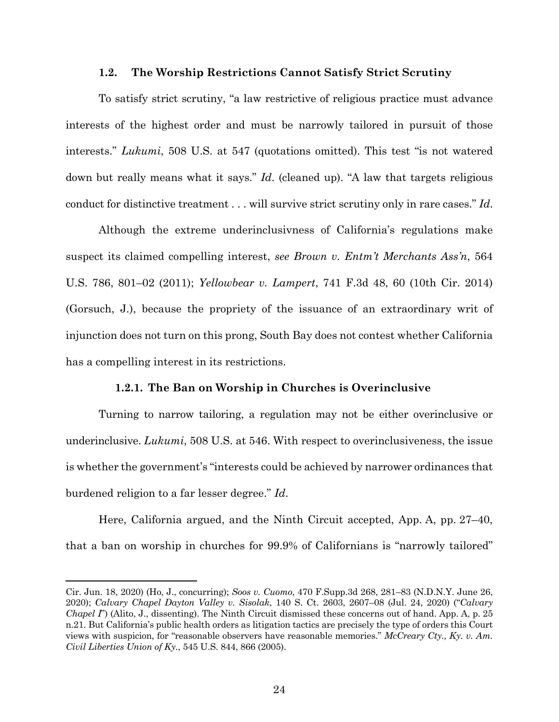### **1.2. The Worship Restrictions Cannot Satisfy Strict Scrutiny**

To satisfy strict scrutiny, "a law restrictive of religious practice must advance interests of the highest order and must be narrowly tailored in pursuit of those interests." *Lukumi*, 508 U.S. at 547 (quotations omitted). This test "is not watered down but really means what it says." *Id*. (cleaned up). "A law that targets religious conduct for distinctive treatment . . . will survive strict scrutiny only in rare cases." *Id*.

Although the extreme underinclusivness of California's regulations make suspect its claimed compelling interest, *see Brown v. Entm't Merchants Ass'n*, 564 U.S. 786, 801–02 (2011); *Yellowbear v. Lampert*, 741 F.3d 48, 60 (10th Cir. 2014) (Gorsuch, J.), because the propriety of the issuance of an extraordinary writ of injunction does not turn on this prong, South Bay does not contest whether California has a compelling interest in its restrictions.

### **1.2.1. The Ban on Worship in Churches is Overinclusive**

Turning to narrow tailoring, a regulation may not be either overinclusive or underinclusive. *Lukumi*, 508 U.S. at 546. With respect to overinclusiveness, the issue is whether the government's "interests could be achieved by narrower ordinances that burdened religion to a far lesser degree." *Id*.

Here, California argued, and the Ninth Circuit accepted, App. A, pp. 27–40, that a ban on worship in churches for 99.9% of Californians is "narrowly tailored"

<u>.</u>

Cir. Jun. 18, 2020) (Ho, J., concurring); *Soos v. Cuomo*, 470 F.Supp.3d 268, 281–83 (N.D.N.Y. June 26, 2020); *Calvary Chapel Dayton Valley v. Sisolak*, 140 S. Ct. 2603, 2607–08 (Jul. 24, 2020) ("*Calvary Chapel I*") (Alito, J., dissenting). The Ninth Circuit dismissed these concerns out of hand. App. A, p. 25 n.21. But California's public health orders as litigation tactics are precisely the type of orders this Court views with suspicion, for "reasonable observers have reasonable memories." *McCreary Cty., Ky. v. Am. Civil Liberties Union of Ky.*, 545 U.S. 844, 866 (2005).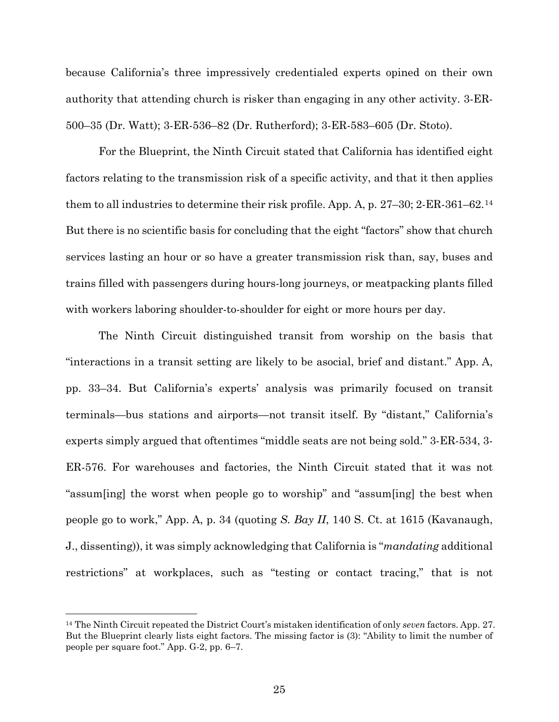because California's three impressively credentialed experts opined on their own authority that attending church is risker than engaging in any other activity. 3-ER-500–35 (Dr. Watt); 3-ER-536–82 (Dr. Rutherford); 3-ER-583–605 (Dr. Stoto).

For the Blueprint, the Ninth Circuit stated that California has identified eight factors relating to the transmission risk of a specific activity, and that it then applies them to all industries to determine their risk profile. App. A, p. 27–30; 2-ER-361–62.[14](#page-37-0) But there is no scientific basis for concluding that the eight "factors" show that church services lasting an hour or so have a greater transmission risk than, say, buses and trains filled with passengers during hours-long journeys, or meatpacking plants filled with workers laboring shoulder-to-shoulder for eight or more hours per day.

The Ninth Circuit distinguished transit from worship on the basis that "interactions in a transit setting are likely to be asocial, brief and distant." App. A, pp. 33–34. But California's experts' analysis was primarily focused on transit terminals—bus stations and airports—not transit itself. By "distant," California's experts simply argued that oftentimes "middle seats are not being sold." 3-ER-534, 3- ER-576. For warehouses and factories, the Ninth Circuit stated that it was not "assum[ing] the worst when people go to worship" and "assum[ing] the best when people go to work," App. A, p. 34 (quoting *S. Bay II*, 140 S. Ct. at 1615 (Kavanaugh, J., dissenting)), it was simply acknowledging that California is "*mandating* additional restrictions" at workplaces, such as "testing or contact tracing," that is not

 $\overline{a}$ 

<span id="page-37-0"></span><sup>14</sup> The Ninth Circuit repeated the District Court's mistaken identification of only *seven* factors. App. 27. But the Blueprint clearly lists eight factors. The missing factor is (3): "Ability to limit the number of people per square foot." App. G-2, pp. 6–7.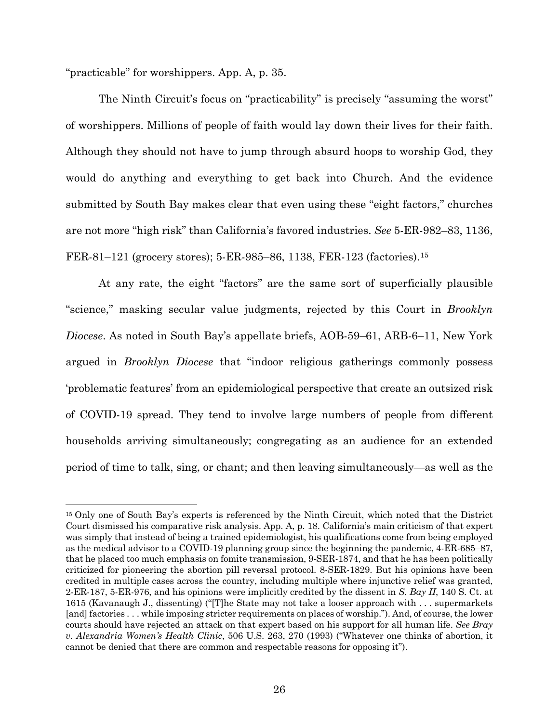"practicable" for worshippers. App. A, p. 35.

-

The Ninth Circuit's focus on "practicability" is precisely "assuming the worst" of worshippers. Millions of people of faith would lay down their lives for their faith. Although they should not have to jump through absurd hoops to worship God, they would do anything and everything to get back into Church. And the evidence submitted by South Bay makes clear that even using these "eight factors," churches are not more "high risk" than California's favored industries. *See* 5-ER-982–83, 1136, FER-81–121 (grocery stores); 5-ER-985–86, 1138, FER-123 (factories).[15](#page-38-0)

At any rate, the eight "factors" are the same sort of superficially plausible "science," masking secular value judgments, rejected by this Court in *Brooklyn Diocese*. As noted in South Bay's appellate briefs, AOB-59–61, ARB-6–11, New York argued in *Brooklyn Diocese* that "indoor religious gatherings commonly possess 'problematic features' from an epidemiological perspective that create an outsized risk of COVID-19 spread. They tend to involve large numbers of people from different households arriving simultaneously; congregating as an audience for an extended period of time to talk, sing, or chant; and then leaving simultaneously—as well as the

<span id="page-38-0"></span><sup>&</sup>lt;sup>15</sup> Only one of South Bay's experts is referenced by the Ninth Circuit, which noted that the District Court dismissed his comparative risk analysis. App. A, p. 18. California's main criticism of that expert was simply that instead of being a trained epidemiologist, his qualifications come from being employed as the medical advisor to a COVID-19 planning group since the beginning the pandemic, 4-ER-685–87, that he placed too much emphasis on fomite transmission, 9-SER-1874, and that he has been politically criticized for pioneering the abortion pill reversal protocol. 8-SER-1829. But his opinions have been credited in multiple cases across the country, including multiple where injunctive relief was granted, 2-ER-187, 5-ER-976, and his opinions were implicitly credited by the dissent in *S. Bay II*, 140 S. Ct. at 1615 (Kavanaugh J., dissenting) ("[T]he State may not take a looser approach with . . . supermarkets [and] factories . . . while imposing stricter requirements on places of worship."). And, of course, the lower courts should have rejected an attack on that expert based on his support for all human life. *See Bray v. Alexandria Women's Health Clinic*, 506 U.S. 263, 270 (1993) ("Whatever one thinks of abortion, it cannot be denied that there are common and respectable reasons for opposing it").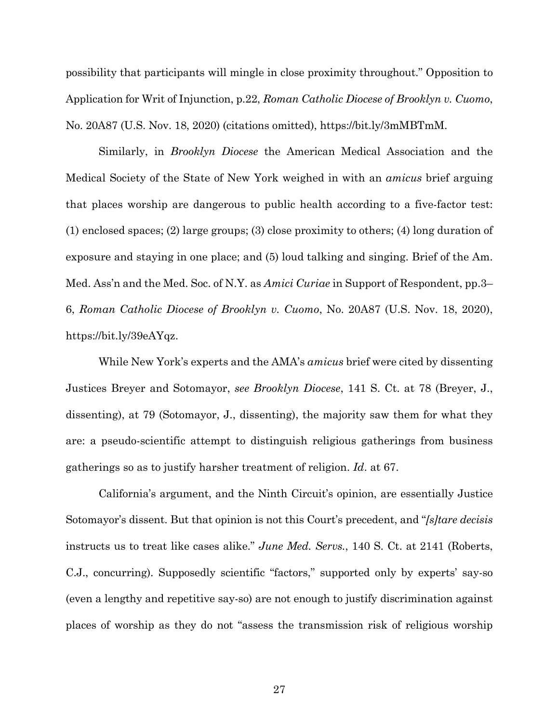possibility that participants will mingle in close proximity throughout." Opposition to Application for Writ of Injunction, p.22, *Roman Catholic Diocese of Brooklyn v. Cuomo*, No. 20A87 (U.S. Nov. 18, 2020) (citations omitted), https://bit.ly/3mMBTmM.

Similarly, in *Brooklyn Diocese* the American Medical Association and the Medical Society of the State of New York weighed in with an *amicus* brief arguing that places worship are dangerous to public health according to a five-factor test: (1) enclosed spaces; (2) large groups; (3) close proximity to others; (4) long duration of exposure and staying in one place; and (5) loud talking and singing. Brief of the Am. Med. Ass'n and the Med. Soc. of N.Y. as *Amici Curiae* in Support of Respondent, pp.3– 6, *Roman Catholic Diocese of Brooklyn v. Cuomo*, No. 20A87 (U.S. Nov. 18, 2020), https://bit.ly/39eAYqz.

While New York's experts and the AMA's *amicus* brief were cited by dissenting Justices Breyer and Sotomayor, *see Brooklyn Diocese*, 141 S. Ct. at 78 (Breyer, J., dissenting), at 79 (Sotomayor, J., dissenting), the majority saw them for what they are: a pseudo-scientific attempt to distinguish religious gatherings from business gatherings so as to justify harsher treatment of religion. *Id*. at 67.

California's argument, and the Ninth Circuit's opinion, are essentially Justice Sotomayor's dissent. But that opinion is not this Court's precedent, and "*[s]tare decisis*  instructs us to treat like cases alike." *June Med. Servs.*, 140 S. Ct. at 2141 (Roberts, C.J., concurring). Supposedly scientific "factors," supported only by experts' say-so (even a lengthy and repetitive say-so) are not enough to justify discrimination against places of worship as they do not "assess the transmission risk of religious worship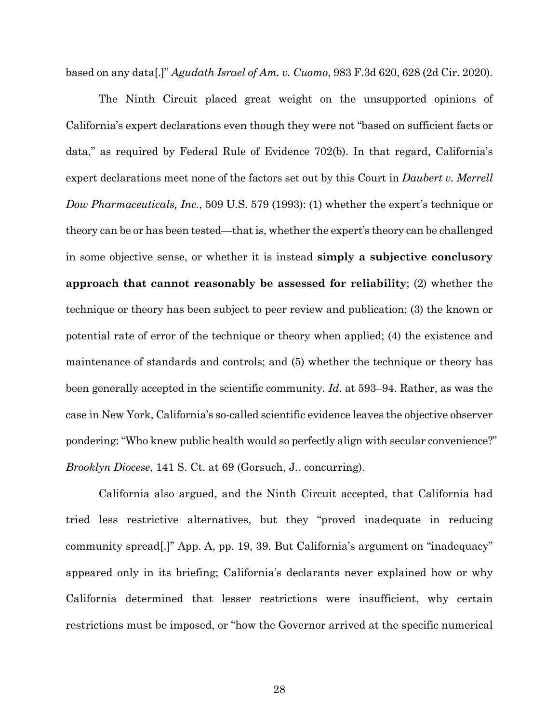based on any data[.]" *Agudath Israel of Am. v. Cuomo*, 983 F.3d 620, 628 (2d Cir. 2020).

The Ninth Circuit placed great weight on the unsupported opinions of California's expert declarations even though they were not "based on sufficient facts or data," as required by Federal Rule of Evidence 702(b). In that regard, California's expert declarations meet none of the factors set out by this Court in *Daubert v. Merrell Dow Pharmaceuticals, Inc.*, 509 U.S. 579 (1993): (1) whether the expert's technique or theory can be or has been tested—that is, whether the expert's theory can be challenged in some objective sense, or whether it is instead **simply a subjective conclusory approach that cannot reasonably be assessed for reliability**; (2) whether the technique or theory has been subject to peer review and publication; (3) the known or potential rate of error of the technique or theory when applied; (4) the existence and maintenance of standards and controls; and (5) whether the technique or theory has been generally accepted in the scientific community. *Id*. at 593–94. Rather, as was the case in New York, California's so-called scientific evidence leaves the objective observer pondering: "Who knew public health would so perfectly align with secular convenience?" *Brooklyn Diocese*, 141 S. Ct. at 69 (Gorsuch, J., concurring).

California also argued, and the Ninth Circuit accepted, that California had tried less restrictive alternatives, but they "proved inadequate in reducing community spread[.]" App. A, pp. 19, 39. But California's argument on "inadequacy" appeared only in its briefing; California's declarants never explained how or why California determined that lesser restrictions were insufficient, why certain restrictions must be imposed, or "how the Governor arrived at the specific numerical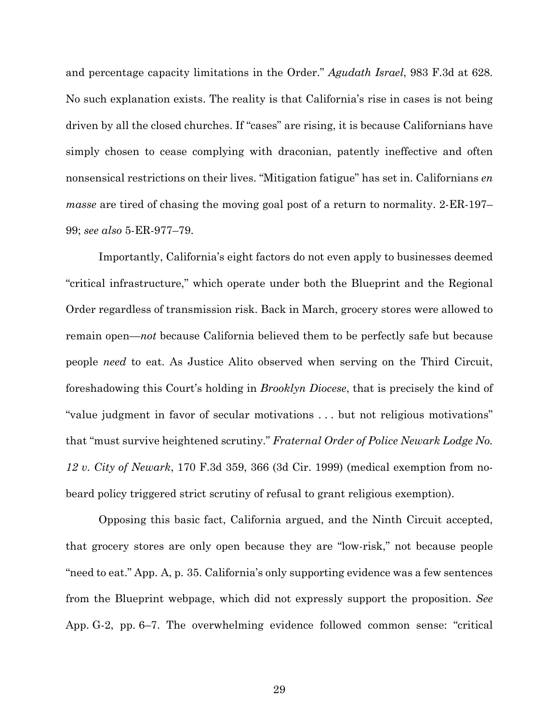and percentage capacity limitations in the Order." *Agudath Israel*, 983 F.3d at 628. No such explanation exists. The reality is that California's rise in cases is not being driven by all the closed churches. If "cases" are rising, it is because Californians have simply chosen to cease complying with draconian, patently ineffective and often nonsensical restrictions on their lives. "Mitigation fatigue" has set in. Californians *en masse* are tired of chasing the moving goal post of a return to normality. 2-ER-197– 99; *see also* 5-ER-977–79.

Importantly, California's eight factors do not even apply to businesses deemed "critical infrastructure," which operate under both the Blueprint and the Regional Order regardless of transmission risk. Back in March, grocery stores were allowed to remain open—*not* because California believed them to be perfectly safe but because people *need* to eat. As Justice Alito observed when serving on the Third Circuit, foreshadowing this Court's holding in *Brooklyn Diocese*, that is precisely the kind of "value judgment in favor of secular motivations . . . but not religious motivations" that "must survive heightened scrutiny." *Fraternal Order of Police Newark Lodge No. 12 v. City of Newark*, 170 F.3d 359, 366 (3d Cir. 1999) (medical exemption from nobeard policy triggered strict scrutiny of refusal to grant religious exemption).

Opposing this basic fact, California argued, and the Ninth Circuit accepted, that grocery stores are only open because they are "low-risk," not because people "need to eat." App. A, p. 35. California's only supporting evidence was a few sentences from the Blueprint webpage, which did not expressly support the proposition. *See* App. G-2, pp. 6–7. The overwhelming evidence followed common sense: "critical

29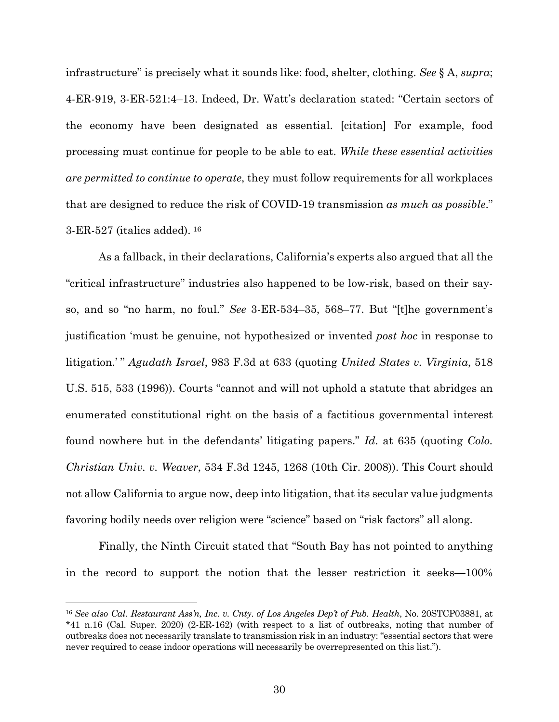infrastructure" is precisely what it sounds like: food, shelter, clothing. *See* § A, *supra*; 4-ER-919, 3-ER-521:4–13. Indeed, Dr. Watt's declaration stated: "Certain sectors of the economy have been designated as essential. [citation] For example, food processing must continue for people to be able to eat. *While these essential activities are permitted to continue to operate*, they must follow requirements for all workplaces that are designed to reduce the risk of COVID-19 transmission *as much as possible*." 3-ER-527 (italics added). [16](#page-42-0)

As a fallback, in their declarations, California's experts also argued that all the "critical infrastructure" industries also happened to be low-risk, based on their sayso, and so "no harm, no foul." *See* 3-ER-534–35, 568–77. But "[t]he government's justification 'must be genuine, not hypothesized or invented *post hoc* in response to litigation.' " *Agudath Israel*, 983 F.3d at 633 (quoting *United States v. Virginia*, 518 U.S. 515, 533 (1996)). Courts "cannot and will not uphold a statute that abridges an enumerated constitutional right on the basis of a factitious governmental interest found nowhere but in the defendants' litigating papers." *Id*. at 635 (quoting *Colo. Christian Univ. v. Weaver*, 534 F.3d 1245, 1268 (10th Cir. 2008)). This Court should not allow California to argue now, deep into litigation, that its secular value judgments favoring bodily needs over religion were "science" based on "risk factors" all along.

Finally, the Ninth Circuit stated that "South Bay has not pointed to anything in the record to support the notion that the lesser restriction it seeks—100%

<u>.</u>

<span id="page-42-0"></span><sup>16</sup> *See also Cal. Restaurant Ass'n, Inc. v. Cnty. of Los Angeles Dep't of Pub. Health*, No. 20STCP03881, at \*41 n.16 (Cal. Super. 2020) (2-ER-162) (with respect to a list of outbreaks, noting that number of outbreaks does not necessarily translate to transmission risk in an industry: "essential sectors that were never required to cease indoor operations will necessarily be overrepresented on this list.").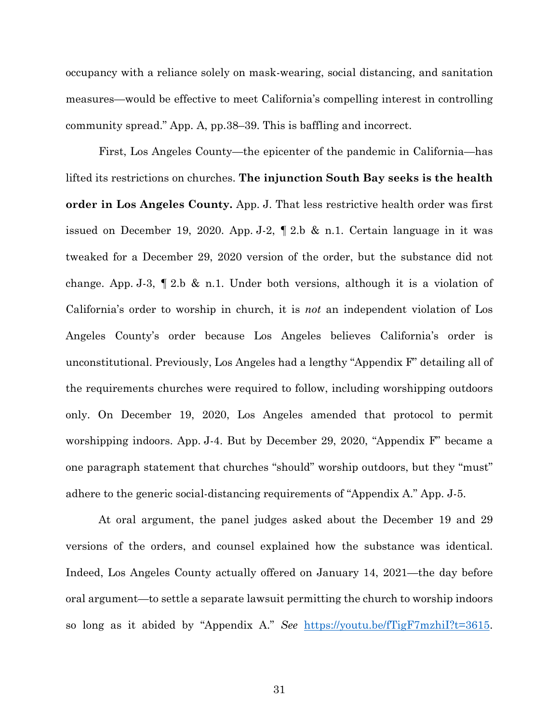occupancy with a reliance solely on mask-wearing, social distancing, and sanitation measures—would be effective to meet California's compelling interest in controlling community spread." App. A, pp.38–39. This is baffling and incorrect.

First, Los Angeles County—the epicenter of the pandemic in California—has lifted its restrictions on churches. **The injunction South Bay seeks is the health order in Los Angeles County.** App. J. That less restrictive health order was first issued on December 19, 2020. App. J-2, ¶ 2.b & n.1. Certain language in it was tweaked for a December 29, 2020 version of the order, but the substance did not change. App. J-3, ¶ 2.b & n.1. Under both versions, although it is a violation of California's order to worship in church, it is *not* an independent violation of Los Angeles County's order because Los Angeles believes California's order is unconstitutional. Previously, Los Angeles had a lengthy "Appendix F" detailing all of the requirements churches were required to follow, including worshipping outdoors only. On December 19, 2020, Los Angeles amended that protocol to permit worshipping indoors. App. J-4. But by December 29, 2020, "Appendix F" became a one paragraph statement that churches "should" worship outdoors, but they "must" adhere to the generic social-distancing requirements of "Appendix A." App. J-5.

At oral argument, the panel judges asked about the December 19 and 29 versions of the orders, and counsel explained how the substance was identical. Indeed, Los Angeles County actually offered on January 14, 2021—the day before oral argument—to settle a separate lawsuit permitting the church to worship indoors so long as it abided by "Appendix A." *See* https://youtu.be/fTigF7mzhiI?t=3615.

31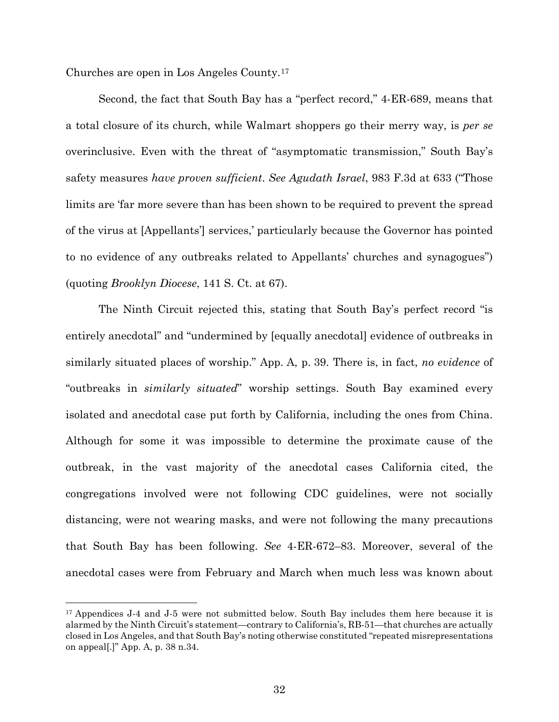Churches are open in Los Angeles County.[17](#page-44-0)

<u>.</u>

Second, the fact that South Bay has a "perfect record," 4-ER-689, means that a total closure of its church, while Walmart shoppers go their merry way, is *per se* overinclusive. Even with the threat of "asymptomatic transmission," South Bay's safety measures *have proven sufficient*. *See Agudath Israel*, 983 F.3d at 633 ("Those limits are 'far more severe than has been shown to be required to prevent the spread of the virus at [Appellants'] services,' particularly because the Governor has pointed to no evidence of any outbreaks related to Appellants' churches and synagogues") (quoting *Brooklyn Diocese*, 141 S. Ct. at 67).

The Ninth Circuit rejected this, stating that South Bay's perfect record "is entirely anecdotal" and "undermined by [equally anecdotal] evidence of outbreaks in similarly situated places of worship." App. A, p. 39. There is, in fact, *no evidence* of "outbreaks in *similarly situated*" worship settings. South Bay examined every isolated and anecdotal case put forth by California, including the ones from China. Although for some it was impossible to determine the proximate cause of the outbreak, in the vast majority of the anecdotal cases California cited, the congregations involved were not following CDC guidelines, were not socially distancing, were not wearing masks, and were not following the many precautions that South Bay has been following. *See* 4-ER-672–83. Moreover, several of the anecdotal cases were from February and March when much less was known about

<span id="page-44-0"></span><sup>&</sup>lt;sup>17</sup> Appendices J-4 and J-5 were not submitted below. South Bay includes them here because it is alarmed by the Ninth Circuit's statement—contrary to California's, RB-51—that churches are actually closed in Los Angeles, and that South Bay's noting otherwise constituted "repeated misrepresentations on appeal[.]" App. A, p. 38 n.34.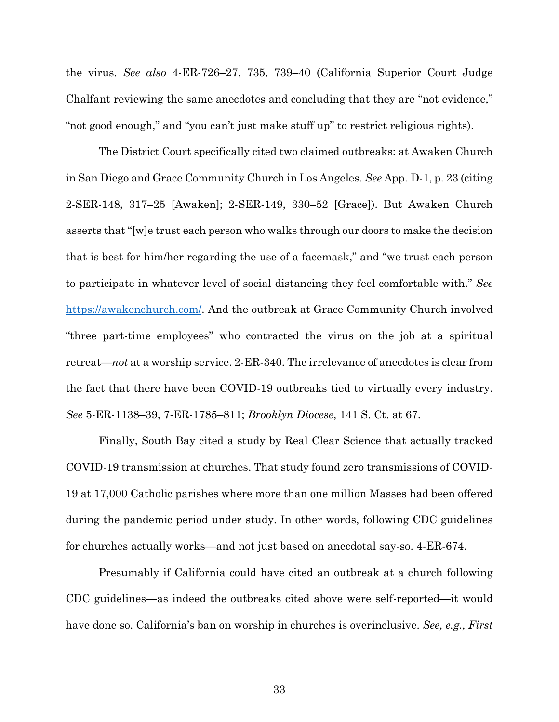the virus. *See also* 4-ER-726–27, 735, 739–40 (California Superior Court Judge Chalfant reviewing the same anecdotes and concluding that they are "not evidence," "not good enough," and "you can't just make stuff up" to restrict religious rights).

The District Court specifically cited two claimed outbreaks: at Awaken Church in San Diego and Grace Community Church in Los Angeles. *See* App. D-1, p. 23 (citing 2-SER-148, 317–25 [Awaken]; 2-SER-149, 330–52 [Grace]). But Awaken Church asserts that "[w]e trust each person who walks through our doors to make the decision that is best for him/her regarding the use of a facemask," and "we trust each person to participate in whatever level of social distancing they feel comfortable with." *See* https://awakenchurch.com/. And the outbreak at Grace Community Church involved "three part-time employees" who contracted the virus on the job at a spiritual retreat—*not* at a worship service. 2-ER-340. The irrelevance of anecdotes is clear from the fact that there have been COVID-19 outbreaks tied to virtually every industry. *See* 5-ER-1138–39, 7-ER-1785–811; *Brooklyn Diocese*, 141 S. Ct. at 67.

Finally, South Bay cited a study by Real Clear Science that actually tracked COVID-19 transmission at churches. That study found zero transmissions of COVID-19 at 17,000 Catholic parishes where more than one million Masses had been offered during the pandemic period under study. In other words, following CDC guidelines for churches actually works—and not just based on anecdotal say-so. 4-ER-674.

Presumably if California could have cited an outbreak at a church following CDC guidelines—as indeed the outbreaks cited above were self-reported—it would have done so. California's ban on worship in churches is overinclusive. *See, e.g., First*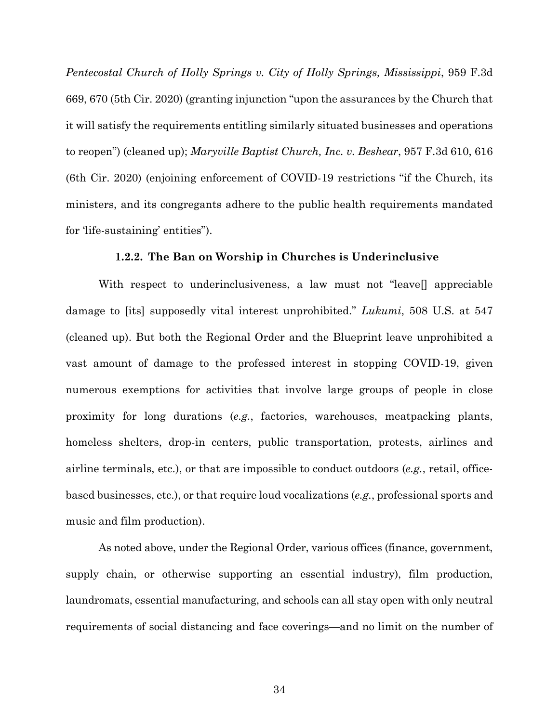*Pentecostal Church of Holly Springs v. City of Holly Springs, Mississippi*, 959 F.3d 669, 670 (5th Cir. 2020) (granting injunction "upon the assurances by the Church that it will satisfy the requirements entitling similarly situated businesses and operations to reopen") (cleaned up); *Maryville Baptist Church, Inc. v. Beshear*, 957 F.3d 610, 616 (6th Cir. 2020) (enjoining enforcement of COVID-19 restrictions "if the Church, its ministers, and its congregants adhere to the public health requirements mandated for 'life-sustaining' entities").

#### **1.2.2. The Ban on Worship in Churches is Underinclusive**

With respect to underinclusiveness, a law must not "leave[] appreciable damage to [its] supposedly vital interest unprohibited." *Lukumi*, 508 U.S. at 547 (cleaned up). But both the Regional Order and the Blueprint leave unprohibited a vast amount of damage to the professed interest in stopping COVID-19, given numerous exemptions for activities that involve large groups of people in close proximity for long durations (*e.g.*, factories, warehouses, meatpacking plants, homeless shelters, drop-in centers, public transportation, protests, airlines and airline terminals, etc.), or that are impossible to conduct outdoors (*e.g.*, retail, officebased businesses, etc.), or that require loud vocalizations (*e.g.*, professional sports and music and film production).

As noted above, under the Regional Order, various offices (finance, government, supply chain, or otherwise supporting an essential industry), film production, laundromats, essential manufacturing, and schools can all stay open with only neutral requirements of social distancing and face coverings—and no limit on the number of

34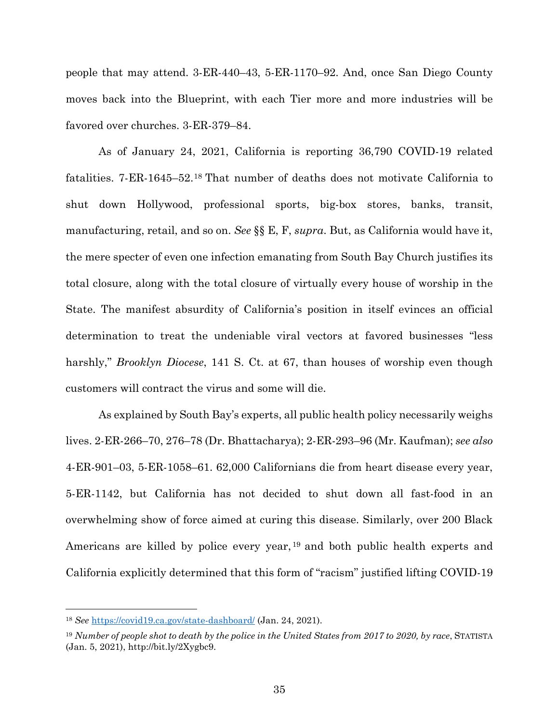people that may attend. 3-ER-440–43, 5-ER-1170–92. And, once San Diego County moves back into the Blueprint, with each Tier more and more industries will be favored over churches. 3-ER-379–84.

As of January 24, 2021, California is reporting 36,790 COVID-19 related fatalities. 7-ER-1645–52.[18](#page-47-0) That number of deaths does not motivate California to shut down Hollywood, professional sports, big-box stores, banks, transit, manufacturing, retail, and so on. *See* §§ E, F, *supra*. But, as California would have it, the mere specter of even one infection emanating from South Bay Church justifies its total closure, along with the total closure of virtually every house of worship in the State. The manifest absurdity of California's position in itself evinces an official determination to treat the undeniable viral vectors at favored businesses "less harshly," *Brooklyn Diocese*, 141 S. Ct. at 67, than houses of worship even though customers will contract the virus and some will die.

As explained by South Bay's experts, all public health policy necessarily weighs lives. 2-ER-266–70, 276–78 (Dr. Bhattacharya); 2-ER-293–96 (Mr. Kaufman); *see also* 4-ER-901–03, 5-ER-1058–61. 62,000 Californians die from heart disease every year, 5-ER-1142, but California has not decided to shut down all fast-food in an overwhelming show of force aimed at curing this disease. Similarly, over 200 Black Americans are killed by police every year, [19](#page-47-1) and both public health experts and California explicitly determined that this form of "racism" justified lifting COVID-19

 $\overline{a}$ 

<span id="page-47-0"></span><sup>18</sup> *See* https://covid19.ca.gov/state-dashboard/ (Jan. 24, 2021).

<span id="page-47-1"></span><sup>19</sup> *Number of people shot to death by the police in the United States from 2017 to 2020, by race*, STATISTA (Jan. 5, 2021), http://bit.ly/2Xygbc9.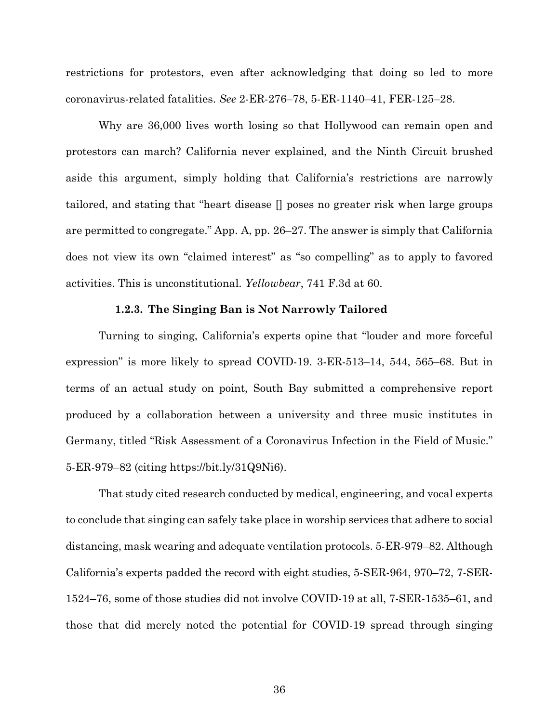restrictions for protestors, even after acknowledging that doing so led to more coronavirus-related fatalities. *See* 2-ER-276–78, 5-ER-1140–41, FER-125–28.

Why are 36,000 lives worth losing so that Hollywood can remain open and protestors can march? California never explained, and the Ninth Circuit brushed aside this argument, simply holding that California's restrictions are narrowly tailored, and stating that "heart disease [] poses no greater risk when large groups are permitted to congregate." App. A, pp. 26–27. The answer is simply that California does not view its own "claimed interest" as "so compelling" as to apply to favored activities. This is unconstitutional. *Yellowbear*, 741 F.3d at 60.

#### **1.2.3. The Singing Ban is Not Narrowly Tailored**

Turning to singing, California's experts opine that "louder and more forceful expression" is more likely to spread COVID-19. 3-ER-513–14, 544, 565–68. But in terms of an actual study on point, South Bay submitted a comprehensive report produced by a collaboration between a university and three music institutes in Germany, titled "Risk Assessment of a Coronavirus Infection in the Field of Music." 5-ER-979–82 (citing https://bit.ly/31Q9Ni6).

That study cited research conducted by medical, engineering, and vocal experts to conclude that singing can safely take place in worship services that adhere to social distancing, mask wearing and adequate ventilation protocols. 5-ER-979–82. Although California's experts padded the record with eight studies, 5-SER-964, 970–72, 7-SER-1524–76, some of those studies did not involve COVID-19 at all, 7-SER-1535–61, and those that did merely noted the potential for COVID-19 spread through singing

36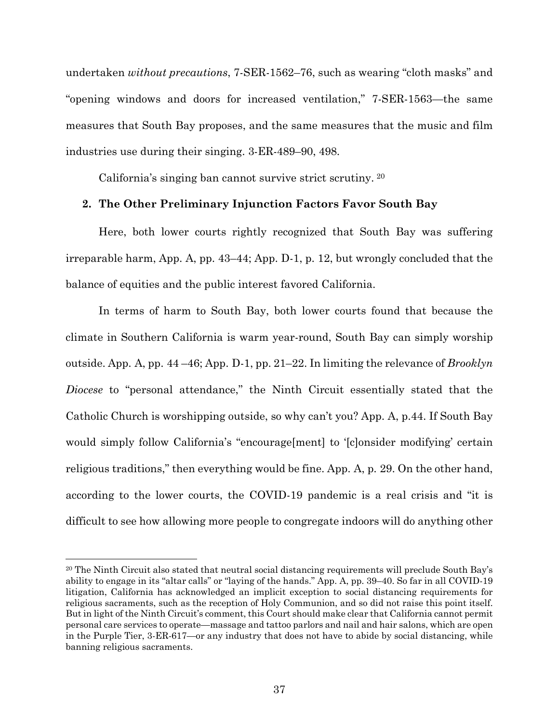undertaken *without precautions*, 7-SER-1562–76, such as wearing "cloth masks" and "opening windows and doors for increased ventilation," 7-SER-1563—the same measures that South Bay proposes, and the same measures that the music and film industries use during their singing. 3-ER-489–90, 498.

California's singing ban cannot survive strict scrutiny. [20](#page-49-0)

#### **2. The Other Preliminary Injunction Factors Favor South Bay**

Here, both lower courts rightly recognized that South Bay was suffering irreparable harm, App. A, pp. 43–44; App. D-1, p. 12, but wrongly concluded that the balance of equities and the public interest favored California.

In terms of harm to South Bay, both lower courts found that because the climate in Southern California is warm year-round, South Bay can simply worship outside. App. A, pp. 44 –46; App. D-1, pp. 21–22. In limiting the relevance of *Brooklyn Diocese* to "personal attendance," the Ninth Circuit essentially stated that the Catholic Church is worshipping outside, so why can't you? App. A, p.44. If South Bay would simply follow California's "encourage[ment] to '[c]onsider modifying' certain religious traditions," then everything would be fine. App. A, p. 29. On the other hand, according to the lower courts, the COVID-19 pandemic is a real crisis and "it is difficult to see how allowing more people to congregate indoors will do anything other

 $\overline{a}$ 

<span id="page-49-0"></span><sup>20</sup> The Ninth Circuit also stated that neutral social distancing requirements will preclude South Bay's ability to engage in its "altar calls" or "laying of the hands." App. A, pp. 39–40. So far in all COVID-19 litigation, California has acknowledged an implicit exception to social distancing requirements for religious sacraments, such as the reception of Holy Communion, and so did not raise this point itself. But in light of the Ninth Circuit's comment, this Court should make clear that California cannot permit personal care services to operate—massage and tattoo parlors and nail and hair salons, which are open in the Purple Tier, 3-ER-617—or any industry that does not have to abide by social distancing, while banning religious sacraments.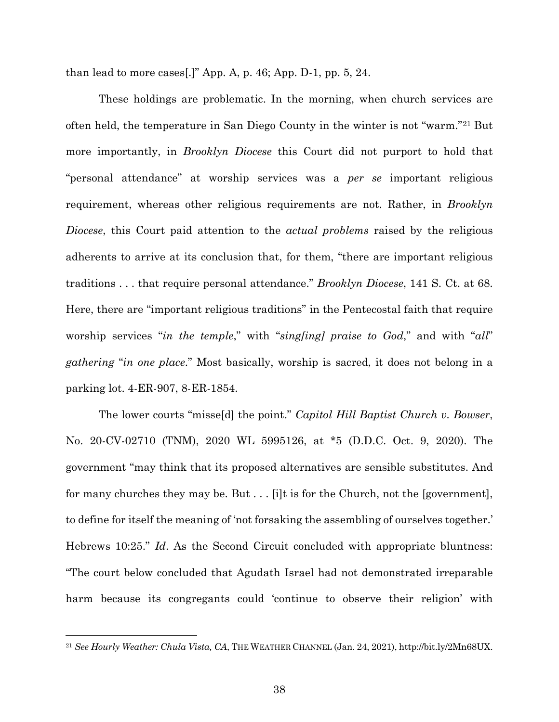than lead to more cases[.]" App. A, p. 46; App. D-1, pp. 5, 24.

These holdings are problematic. In the morning, when church services are often held, the temperature in San Diego County in the winter is not "warm."[21](#page-50-0) But more importantly, in *Brooklyn Diocese* this Court did not purport to hold that "personal attendance" at worship services was a *per se* important religious requirement, whereas other religious requirements are not. Rather, in *Brooklyn Diocese*, this Court paid attention to the *actual problems* raised by the religious adherents to arrive at its conclusion that, for them, "there are important religious traditions . . . that require personal attendance." *Brooklyn Diocese*, 141 S. Ct. at 68. Here, there are "important religious traditions" in the Pentecostal faith that require worship services "*in the temple*," with "*sing[ing] praise to God*," and with "*all*" *gathering* "*in one place*." Most basically, worship is sacred, it does not belong in a parking lot. 4-ER-907, 8-ER-1854.

The lower courts "misse[d] the point." *Capitol Hill Baptist Church v. Bowser*, No. 20-CV-02710 (TNM), 2020 WL 5995126, at \*5 (D.D.C. Oct. 9, 2020). The government "may think that its proposed alternatives are sensible substitutes. And for many churches they may be. But . . . [i]t is for the Church, not the [government], to define for itself the meaning of 'not forsaking the assembling of ourselves together.' Hebrews 10:25." *Id*. As the Second Circuit concluded with appropriate bluntness: "The court below concluded that Agudath Israel had not demonstrated irreparable harm because its congregants could 'continue to observe their religion' with

 $\overline{a}$ 

<span id="page-50-0"></span><sup>21</sup> *See Hourly Weather: Chula Vista, CA*, THE WEATHER CHANNEL (Jan. 24, 2021), http://bit.ly/2Mn68UX.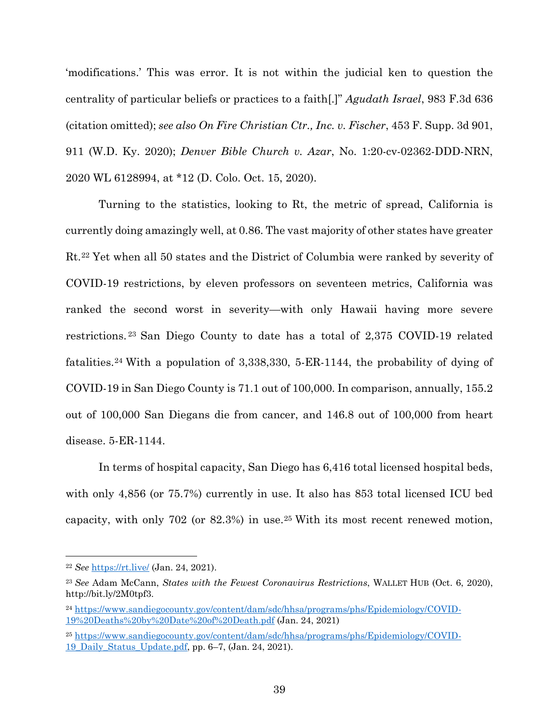'modifications.' This was error. It is not within the judicial ken to question the centrality of particular beliefs or practices to a faith[.]" *Agudath Israel*, 983 F.3d 636 (citation omitted); *see also On Fire Christian Ctr., Inc. v. Fischer*, 453 F. Supp. 3d 901, 911 (W.D. Ky. 2020); *Denver Bible Church v. Azar*, No. 1:20-cv-02362-DDD-NRN, 2020 WL 6128994, at \*12 (D. Colo. Oct. 15, 2020).

Turning to the statistics, looking to Rt, the metric of spread, California is currently doing amazingly well, at 0.86. The vast majority of other states have greater Rt.[22](#page-51-0) Yet when all 50 states and the District of Columbia were ranked by severity of COVID-19 restrictions, by eleven professors on seventeen metrics, California was ranked the second worst in severity—with only Hawaii having more severe restrictions. [23](#page-51-1) San Diego County to date has a total of 2,375 COVID-19 related fatalities.[24](#page-51-2) With a population of 3,338,330, 5-ER-1144, the probability of dying of COVID-19 in San Diego County is 71.1 out of 100,000. In comparison, annually, 155.2 out of 100,000 San Diegans die from cancer, and 146.8 out of 100,000 from heart disease. 5-ER-1144.

In terms of hospital capacity, San Diego has 6,416 total licensed hospital beds, with only 4,856 (or 75.7%) currently in use. It also has 853 total licensed ICU bed capacity, with only 702 (or 82.3%) in use.[25](#page-51-3) With its most recent renewed motion,

 $\overline{a}$ 

<span id="page-51-3"></span><sup>25</sup> https://www.sandiegocounty.gov/content/dam/sdc/hhsa/programs/phs/Epidemiology/COVID-19\_Daily\_Status\_Update.pdf, pp. 6–7, (Jan. 24, 2021).

<span id="page-51-0"></span><sup>22</sup> *See* https://rt.live/ (Jan. 24, 2021).

<span id="page-51-1"></span><sup>23</sup> *See* Adam McCann, *States with the Fewest Coronavirus Restrictions*, WALLET HUB (Oct. 6, 2020), http://bit.ly/2M0tpf3.

<span id="page-51-2"></span><sup>24</sup> https://www.sandiegocounty.gov/content/dam/sdc/hhsa/programs/phs/Epidemiology/COVID-19%20Deaths%20by%20Date%20of%20Death.pdf (Jan. 24, 2021)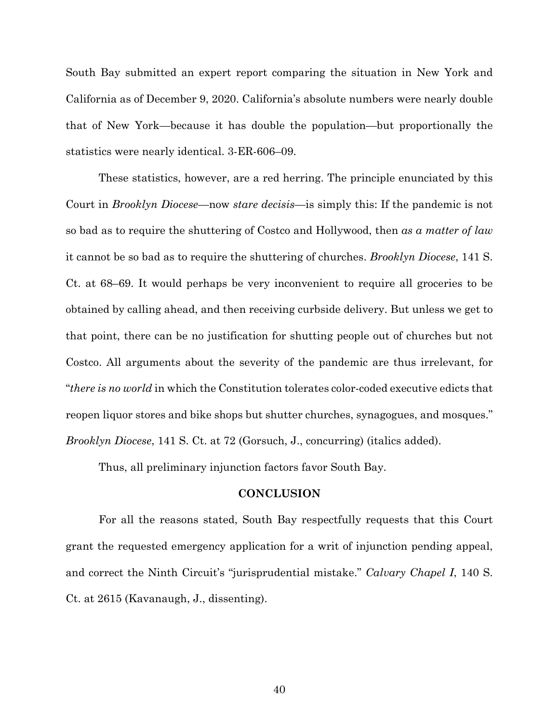South Bay submitted an expert report comparing the situation in New York and California as of December 9, 2020. California's absolute numbers were nearly double that of New York—because it has double the population—but proportionally the statistics were nearly identical. 3-ER-606–09.

These statistics, however, are a red herring. The principle enunciated by this Court in *Brooklyn Diocese*—now *stare decisis*—is simply this: If the pandemic is not so bad as to require the shuttering of Costco and Hollywood, then *as a matter of law* it cannot be so bad as to require the shuttering of churches. *Brooklyn Diocese*, 141 S. Ct. at 68–69. It would perhaps be very inconvenient to require all groceries to be obtained by calling ahead, and then receiving curbside delivery. But unless we get to that point, there can be no justification for shutting people out of churches but not Costco. All arguments about the severity of the pandemic are thus irrelevant, for "*there is no world* in which the Constitution tolerates color-coded executive edicts that reopen liquor stores and bike shops but shutter churches, synagogues, and mosques." *Brooklyn Diocese*, 141 S. Ct. at 72 (Gorsuch, J., concurring) (italics added).

Thus, all preliminary injunction factors favor South Bay.

### **CONCLUSION**

For all the reasons stated, South Bay respectfully requests that this Court grant the requested emergency application for a writ of injunction pending appeal, and correct the Ninth Circuit's "jurisprudential mistake." *Calvary Chapel I*, 140 S. Ct. at 2615 (Kavanaugh, J., dissenting).